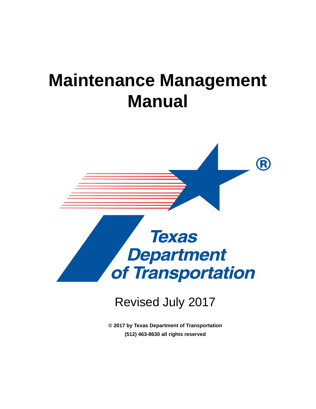# **Maintenance Management Manual**



# Revised July 2017

**© 2017 by Texas Department of Transportation (512) 463-8630 all rights reserved**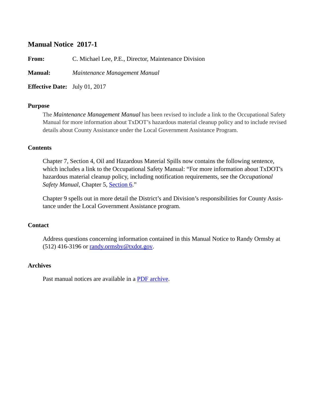#### **Manual Notice 2017-1**

**From:** C. Michael Lee, P.E., Director, Maintenance Division

**Manual:** *Maintenance Management Manual*

**Effective Date:** July 01, 2017

#### **Purpose**

The *Maintenance Management Manual* has been revised to include a link to the Occupational Safety Manual for more information about TxDOT's hazardous material cleanup policy and to include revised details about County Assistance under the Local Government Assistance Program.

#### **Contents**

Chapter 7, Section 4, Oil and Hazardous Material Spills now contains the following sentence, which includes a link to the Occupational Safety Manual: "For more information about TxDOT's hazardous material cleanup policy, including notification requirements, see the *Occupational Safety Manual*, Chapter 5, [Section 6](../occ/emergency_planning.htm)."

Chapter 9 spells out in more detail the District's and Division's responsibilities for County Assistance under the Local Government Assistance program.

#### **Contact**

Address questions concerning information contained in this Manual Notice to Randy Ormsby at  $(512)$  416-3196 or [randy.ormsby@txdot.gov.](mailto:randy.ormsby@txdot.gov)

#### **Archives**

Past manual notices are available in a [PDF archive.](mmt_mn_archive.pdf)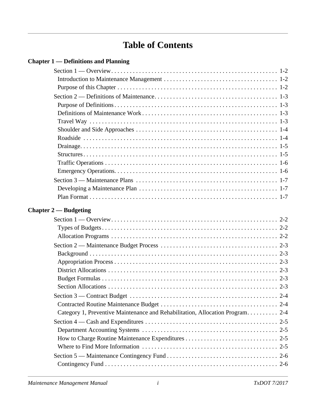# **Table of Contents**

|  | <b>Chapter 1 — Definitions and Planning</b> |  |
|--|---------------------------------------------|--|
|--|---------------------------------------------|--|

| Chapter $2$ — Budgeting                                                       |  |
|-------------------------------------------------------------------------------|--|
|                                                                               |  |
|                                                                               |  |
|                                                                               |  |
|                                                                               |  |
|                                                                               |  |
|                                                                               |  |
|                                                                               |  |
|                                                                               |  |
|                                                                               |  |
|                                                                               |  |
|                                                                               |  |
| Category 1, Preventive Maintenance and Rehabilitation, Allocation Program 2-4 |  |
|                                                                               |  |
|                                                                               |  |
|                                                                               |  |
|                                                                               |  |
|                                                                               |  |
|                                                                               |  |
|                                                                               |  |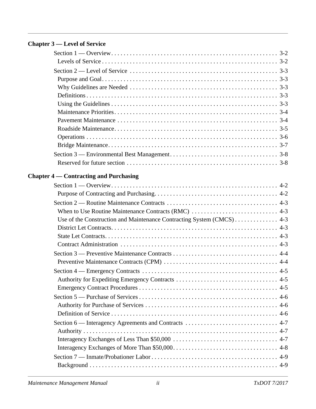### **[Chapter 3 — Level of Service](#page-21-0)**

| <b>Chapter 4 — Contracting and Purchasing</b>                         |  |
|-----------------------------------------------------------------------|--|
|                                                                       |  |
|                                                                       |  |
|                                                                       |  |
|                                                                       |  |
| Use of the Construction and Maintenance Contracting System (CMCS) 4-3 |  |
|                                                                       |  |
|                                                                       |  |
|                                                                       |  |
|                                                                       |  |
|                                                                       |  |
|                                                                       |  |
|                                                                       |  |
|                                                                       |  |
|                                                                       |  |
|                                                                       |  |
|                                                                       |  |
|                                                                       |  |
|                                                                       |  |
|                                                                       |  |
|                                                                       |  |
|                                                                       |  |
|                                                                       |  |
|                                                                       |  |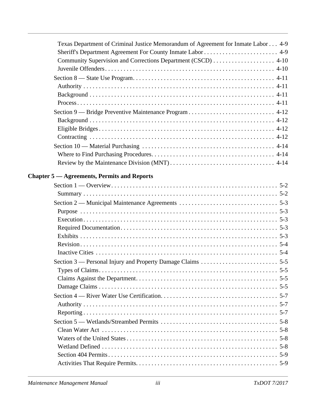| Texas Department of Criminal Justice Memorandum of Agreement for Inmate Labor 4-9 |
|-----------------------------------------------------------------------------------|
|                                                                                   |
| Community Supervision and Corrections Department (CSCD)  4-10                     |
|                                                                                   |
|                                                                                   |
|                                                                                   |
|                                                                                   |
|                                                                                   |
|                                                                                   |
|                                                                                   |
|                                                                                   |
|                                                                                   |
|                                                                                   |
|                                                                                   |
|                                                                                   |
| <b>Chapter 5 — Agreements, Permits and Reports</b>                                |
|                                                                                   |
|                                                                                   |
|                                                                                   |
|                                                                                   |
|                                                                                   |
|                                                                                   |
|                                                                                   |
|                                                                                   |
|                                                                                   |
|                                                                                   |
| $5-5$                                                                             |
|                                                                                   |
|                                                                                   |
|                                                                                   |
|                                                                                   |
|                                                                                   |
|                                                                                   |
|                                                                                   |
|                                                                                   |
|                                                                                   |
|                                                                                   |
|                                                                                   |
|                                                                                   |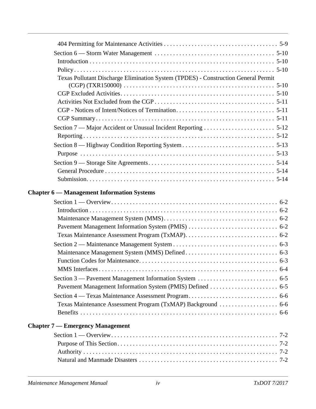| Texas Pollutant Discharge Elimination System (TPDES) - Construction General Permit |  |
|------------------------------------------------------------------------------------|--|
|                                                                                    |  |
|                                                                                    |  |
|                                                                                    |  |
|                                                                                    |  |
|                                                                                    |  |
|                                                                                    |  |
|                                                                                    |  |
|                                                                                    |  |
|                                                                                    |  |
|                                                                                    |  |
|                                                                                    |  |
|                                                                                    |  |
|                                                                                    |  |
| <b>Chapter 6 - Management Information Systems</b>                                  |  |
|                                                                                    |  |
|                                                                                    |  |
|                                                                                    |  |
|                                                                                    |  |
|                                                                                    |  |
|                                                                                    |  |
|                                                                                    |  |
|                                                                                    |  |
|                                                                                    |  |
|                                                                                    |  |
|                                                                                    |  |
|                                                                                    |  |
|                                                                                    |  |
|                                                                                    |  |
| <b>Chapter 7 — Emergency Management</b>                                            |  |
|                                                                                    |  |
|                                                                                    |  |
|                                                                                    |  |
|                                                                                    |  |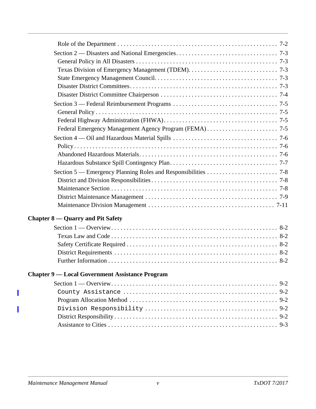| <b>Chapter 8 — Quarry and Pit Safety</b>               |  |
|--------------------------------------------------------|--|
|                                                        |  |
|                                                        |  |
|                                                        |  |
|                                                        |  |
|                                                        |  |
| <b>Chapter 9 — Local Government Assistance Program</b> |  |
|                                                        |  |
|                                                        |  |
|                                                        |  |
|                                                        |  |
|                                                        |  |
|                                                        |  |
|                                                        |  |
|                                                        |  |

 $\overline{\phantom{a}}$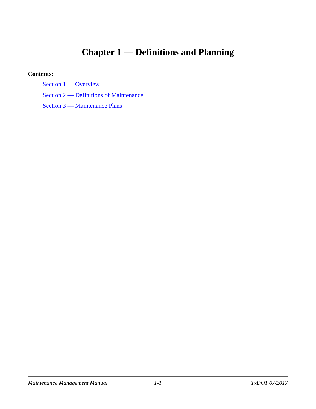# <span id="page-7-0"></span>**Chapter 1 — Definitions and Planning**

#### **Contents:**

[Section 1 — Overview](#page-8-3)

[Section 2 — Definitions of Maintenance](#page-9-4)

[Section 3 — Maintenance Plans](#page-13-3)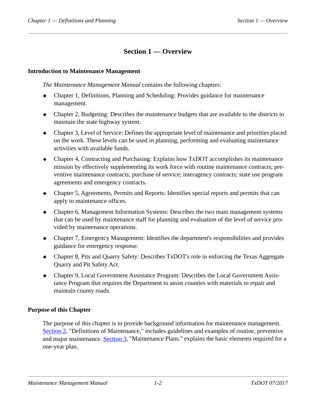# <span id="page-8-0"></span>**Section 1 — Overview**

#### <span id="page-8-3"></span><span id="page-8-1"></span>**Introduction to Maintenance Management**

*The Maintenance Management Manual* contains the following chapters:

- Chapter 1, Definitions, Planning and Scheduling: Provides guidance for maintenance management.
- Chapter 2, Budgeting: Describes the maintenance budgets that are available to the districts to maintain the state highway system.
- Chapter 3, Level of Service: Defines the appropriate level of maintenance and priorities placed on the work. These levels can be used in planning, performing and evaluating maintenance activities with available funds.
- Chapter 4, Contracting and Purchasing: Explains how TxDOT accomplishes its maintenance mission by effectively supplementing its work force with routine maintenance contracts; preventive maintenance contracts; purchase of service; interagency contracts; state use program agreements and emergency contracts.
- Chapter 5, Agreements, Permits and Reports: Identifies special reports and permits that can apply to maintenance offices.
- Chapter 6, Management Information Systems: Describes the two main management systems that can be used by maintenance staff for planning and evaluation of the level of service provided by maintenance operations.
- Chapter 7, Emergency Management: Identifies the department's responsibilities and provides guidance for emergency response.
- Chapter 8, Pits and Quarry Safety: Describes TxDOT's role in enforcing the Texas Aggregate Quarry and Pit Safety Act.
- Chapter 9, Local Government Assistance Program: Describes the Local Government Assistance Program that requires the Department to assist counties with materials to repair and maintain county roads.

#### <span id="page-8-2"></span>**Purpose of this Chapter**

The purpose of this chapter is to provide background information for maintenance management. [Section 2,](definitions_of_maintenance.htm) "Definitions of Maintenance," includes guidelines and examples of routine, preventive and major maintenance. [Section 3,](maintenance_plans.htm) "Maintenance Plans." explains the basic elements required for a one-year plan.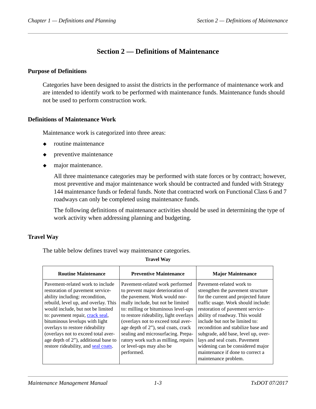# <span id="page-9-0"></span>**Section 2 — Definitions of Maintenance**

#### <span id="page-9-4"></span><span id="page-9-1"></span>**Purpose of Definitions**

Categories have been designed to assist the districts in the performance of maintenance work and are intended to identify work to be performed with maintenance funds. Maintenance funds should not be used to perform construction work.

#### <span id="page-9-2"></span>**Definitions of Maintenance Work**

Maintenance work is categorized into three areas:

- routine maintenance
- preventive maintenance
- $\bullet$  major maintenance.

All three maintenance categories may be performed with state forces or by contract; however, most preventive and major maintenance work should be contracted and funded with Strategy 144 maintenance funds or federal funds. Note that contracted work on Functional Class 6 and 7 roadways can only be completed using maintenance funds.

The following definitions of maintenance activities should be used in determining the type of work activity when addressing planning and budgeting.

#### <span id="page-9-3"></span>**Travel Way**

The table below defines travel way maintenance categories.

#### **Travel Way**

| <b>Routine Maintenance</b>                                                                                                                                                                                                                                                                                                                                                                                           | <b>Preventive Maintenance</b>                                                                                                                                                                                                                                                                                                                                                                                                     | <b>Major Maintenance</b>                                                                                                                                                                                                                                                                                                                                                                                                                                           |
|----------------------------------------------------------------------------------------------------------------------------------------------------------------------------------------------------------------------------------------------------------------------------------------------------------------------------------------------------------------------------------------------------------------------|-----------------------------------------------------------------------------------------------------------------------------------------------------------------------------------------------------------------------------------------------------------------------------------------------------------------------------------------------------------------------------------------------------------------------------------|--------------------------------------------------------------------------------------------------------------------------------------------------------------------------------------------------------------------------------------------------------------------------------------------------------------------------------------------------------------------------------------------------------------------------------------------------------------------|
| Pavement-related work to include<br>restoration of pavement service-<br>ability including: recondition,<br>rebuild, level up, and overlay. This<br>would include, but not be limited<br>to: pavement repair, crack seal,<br>bituminous levelups with light<br>overlays to restore rideability<br>(overlays not to exceed total aver-<br>age depth of 2"), additional base to<br>restore rideability, and seal coats. | Pavement-related work performed<br>to prevent major deterioration of<br>the pavement. Work would nor-<br>mally include, but not be limited<br>to: milling or bituminous level-ups<br>to restore rideability, light overlays<br>(overlays not to exceed total aver-<br>age depth of 2"), seal coats, crack<br>sealing and microsurfacing. Prepa-<br>ratory work such as milling, repairs<br>or level-ups may also be<br>performed. | Pavement-related work to<br>strengthen the pavement structure<br>for the current and projected future<br>traffic usage. Work should include:<br>restoration of pavement service-<br>ability of roadway. This would<br>include but not be limited to:<br>recondition and stabilize base and<br>subgrade, add base, level up, over-<br>lays and seal coats. Pavement<br>widening can be considered major<br>maintenance if done to correct a<br>maintenance problem. |
|                                                                                                                                                                                                                                                                                                                                                                                                                      |                                                                                                                                                                                                                                                                                                                                                                                                                                   |                                                                                                                                                                                                                                                                                                                                                                                                                                                                    |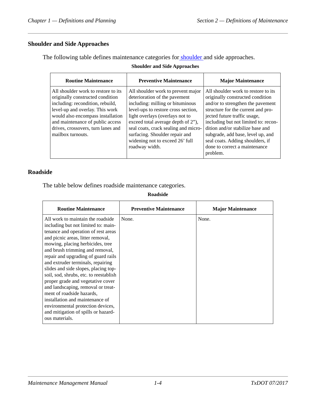### <span id="page-10-0"></span>**Shoulder and Side Approaches**

The following table defines maintenance categories fo[r shoulder a](../glo/s.htm#i1010752)nd side approaches.

#### **Shoulder and Side Approaches**

| <b>Routine Maintenance</b>                                                                                                                                                                                                                                                         | <b>Preventive Maintenance</b>                                                                                                                                                                                                                                                                                                                          | <b>Major Maintenance</b>                                                                                                                                                                                                                                                                                                                                                             |
|------------------------------------------------------------------------------------------------------------------------------------------------------------------------------------------------------------------------------------------------------------------------------------|--------------------------------------------------------------------------------------------------------------------------------------------------------------------------------------------------------------------------------------------------------------------------------------------------------------------------------------------------------|--------------------------------------------------------------------------------------------------------------------------------------------------------------------------------------------------------------------------------------------------------------------------------------------------------------------------------------------------------------------------------------|
| All shoulder work to restore to its<br>originally constructed condition<br>including: recondition, rebuild,<br>level-up and overlay. This work<br>would also encompass installation<br>and maintenance of public access<br>drives, crossovers, turn lanes and<br>mailbox turnouts. | All shoulder work to prevent major<br>deterioration of the pavement<br>including: milling or bituminous<br>level-ups to restore cross section,<br>light overlays (overlays not to<br>exceed total average depth of 2"),<br>seal coats, crack sealing and micro-<br>surfacing. Shoulder repair and<br>widening not to exceed 26' full<br>roadway width. | All shoulder work to restore to its<br>originally constructed condition<br>and/or to strengthen the pavement<br>structure for the current and pro-<br>jected future traffic usage,<br>including but not limited to: recon-<br>dition and/or stabilize base and<br>subgrade, add base, level up, and<br>seal coats. Adding shoulders, if<br>done to correct a maintenance<br>problem. |

### <span id="page-10-1"></span>**Roadside**

 $\mathsf{r}$ 

The table below defines roadside maintenance categories.

**Roadside**

| <b>Routine Maintenance</b>                                                                                 | <b>Preventive Maintenance</b> | <b>Major Maintenance</b> |
|------------------------------------------------------------------------------------------------------------|-------------------------------|--------------------------|
| All work to maintain the roadside<br>including but not limited to: main-                                   | None.                         | None.                    |
| tenance and operation of rest areas<br>and picnic areas, litter removal,                                   |                               |                          |
| mowing, placing herbicides, tree<br>and brush trimming and removal,<br>repair and upgrading of guard rails |                               |                          |
| and extruder terminals, repairing<br>slides and side slopes, placing top-                                  |                               |                          |
| soil, sod, shrubs, etc. to reestablish<br>proper grade and vegetative cover                                |                               |                          |
| and landscaping, removal or treat-<br>ment of roadside hazards,                                            |                               |                          |
| installation and maintenance of<br>environmental protection devices,                                       |                               |                          |
| and mitigation of spills or hazard-<br>ous materials.                                                      |                               |                          |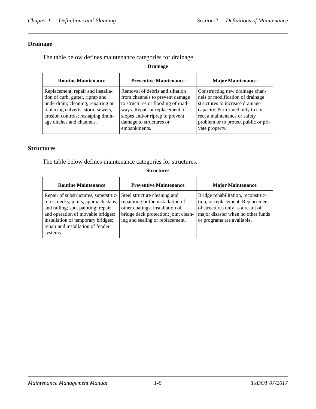#### <span id="page-11-0"></span>**Drainage**

The table below defines maintenance categories for drainage.

**Drainage**

| <b>Routine Maintenance</b>                                                                                                                                                                                          | <b>Preventive Maintenance</b>                                                                                                                                                                                            | <b>Major Maintenance</b>                                                                                                                                                                                                             |
|---------------------------------------------------------------------------------------------------------------------------------------------------------------------------------------------------------------------|--------------------------------------------------------------------------------------------------------------------------------------------------------------------------------------------------------------------------|--------------------------------------------------------------------------------------------------------------------------------------------------------------------------------------------------------------------------------------|
| Replacement, repair and installa-<br>tion of curb, gutter, riprap and<br>underdrain; cleaning, repairing or<br>replacing culverts, storm sewers,<br>erosion controls; reshaping drain-<br>age ditches and channels. | Removal of debris and siltation<br>from channels to prevent damage<br>to structures or flooding of road-<br>ways. Repair or replacement of<br>slopes and/or riprap to prevent<br>damage to structures or<br>embankments. | Constructing new drainage chan-<br>nels or modification of drainage<br>structures to increase drainage<br>capacity. Performed only to cor-<br>rect a maintenance or safety<br>problem or to protect public or pri-<br>vate property. |

#### <span id="page-11-1"></span>**Structures**

The table below defines maintenance categories for structures.

**Structures**

| <b>Routine Maintenance</b>                                                                                                                                                                                                                     | <b>Preventive Maintenance</b>                                                                                                                                                   | <b>Major Maintenance</b>                                                                                                                                                         |
|------------------------------------------------------------------------------------------------------------------------------------------------------------------------------------------------------------------------------------------------|---------------------------------------------------------------------------------------------------------------------------------------------------------------------------------|----------------------------------------------------------------------------------------------------------------------------------------------------------------------------------|
| Repair of substructures, superstruc-<br>tures, decks, joints, approach slabs<br>and railing; spot painting; repair<br>and operation of movable bridges;<br>installation of temporary bridges;<br>repair and installation of fender<br>systems. | Steel structure cleaning and<br>repainting or the installation of<br>other coatings; installation of<br>bridge deck protection; joint clean-<br>ing and sealing or replacement. | Bridge rehabilitation, reconstruc-<br>tion, or replacement. Replacement<br>of structures only as a result of<br>major disaster when no other funds<br>or programs are available. |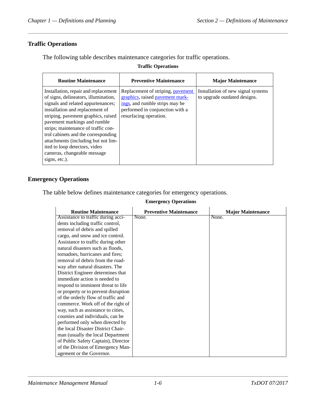### <span id="page-12-0"></span>**Traffic Operations**

The following table describes maintenance categories for traffic operations.

#### **Traffic Operations**

| <b>Routine Maintenance</b>                                                                                                                                                                                                                                                                                                                                                                                                         | <b>Preventive Maintenance</b>                                                                                                                                       | <b>Major Maintenance</b>                                           |
|------------------------------------------------------------------------------------------------------------------------------------------------------------------------------------------------------------------------------------------------------------------------------------------------------------------------------------------------------------------------------------------------------------------------------------|---------------------------------------------------------------------------------------------------------------------------------------------------------------------|--------------------------------------------------------------------|
| Installation, repair and replacement<br>of signs, delineators, illumination,<br>signals and related appurtenances;<br>installation and replacement of<br>striping, pavement graphics, raised<br>pavement markings and rumble<br>strips; maintenance of traffic con-<br>trol cabinets and the corresponding<br>attachments (including but not lim-<br>ited to loop detectors, video<br>cameras, changeable message<br>signs, etc.). | Replacement of striping, pavement<br>graphics, raised pavement mark-<br>ings, and rumble strips may be<br>performed in conjunction with a<br>resurfacing operation. | Installation of new signal systems<br>to upgrade outdated designs. |

#### <span id="page-12-1"></span>**Emergency Operations**

The table below defines maintenance categories for emergency operations.

#### **Emergency Operations**

| <b>Routine Maintenance</b>           | <b>Preventive Maintenance</b> | <b>Major Maintenance</b> |
|--------------------------------------|-------------------------------|--------------------------|
| Assistance to traffic during acci-   | None.                         | None.                    |
| dents including traffic control,     |                               |                          |
| removal of debris and spilled        |                               |                          |
| cargo, and snow and ice control.     |                               |                          |
| Assistance to traffic during other   |                               |                          |
| natural disasters such as floods,    |                               |                          |
| tornadoes, hurricanes and fires;     |                               |                          |
| removal of debris from the road-     |                               |                          |
| way after natural disasters. The     |                               |                          |
| District Engineer determines that    |                               |                          |
| immediate action is needed to        |                               |                          |
| respond to imminent threat to life   |                               |                          |
| or property or to prevent disruption |                               |                          |
| of the orderly flow of traffic and   |                               |                          |
| commerce. Work off of the right of   |                               |                          |
| way, such as assistance to cities,   |                               |                          |
| counties and individuals, can be     |                               |                          |
| performed only when directed by      |                               |                          |
| the local Disaster District Chair-   |                               |                          |
| man (usually the local Department    |                               |                          |
| of Public Safety Captain), Director  |                               |                          |
| of the Division of Emergency Man-    |                               |                          |
| agement or the Governor.             |                               |                          |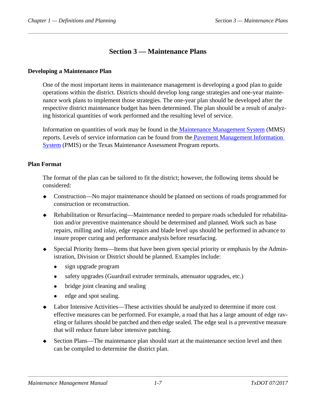# <span id="page-13-0"></span>**Section 3 — Maintenance Plans**

#### <span id="page-13-3"></span><span id="page-13-1"></span>**Developing a Maintenance Plan**

One of the most important items in maintenance management is developing a good plan to guide operations within the district. Districts should develop long range strategies and one-year maintenance work plans to implement those strategies. The one-year plan should be developed after the respective district maintenance budget has been determined. The plan should be a result of analyzing historical quantities of work performed and the resulting level of service.

Information on quantities of work may be found in th[e Maintenance Management System](../glo/m.htm#i1027267) (MMS) reports. Levels of service information can be found from the [Pavement Management Information](../glo/p.htm#i1010289)  [System](../glo/p.htm#i1010289) (PMIS) or the Texas Maintenance Assessment Program reports.

#### <span id="page-13-2"></span>**Plan Format**

The format of the plan can be tailored to fit the district; however, the following items should be considered:

- Construction—No major maintenance should be planned on sections of roads programmed for construction or reconstruction.
- Rehabilitation or Resurfacing—Maintenance needed to prepare roads scheduled for rehabilitation and/or preventive maintenance should be determined and planned. Work such as base repairs, milling and inlay, edge repairs and blade level ups should be performed in advance to insure proper curing and performance analysis before resurfacing.
- Special Priority Items—Items that have been given special priority or emphasis by the Administration, Division or District should be planned. Examples include:
	- sign upgrade program
	- safety upgrades (Guardrail extruder terminals, attenuator upgrades, etc.)
	- bridge joint cleaning and sealing
	- edge and spot sealing.
- Labor Intensive Activities—These activities should be analyzed to determine if more cost effective measures can be performed. For example, a road that has a large amount of edge raveling or failures should be patched and then edge sealed. The edge seal is a preventive measure that will reduce future labor intensive patching.
- Section Plans—The maintenance plan should start at the maintenance section level and then can be compiled to determine the district plan.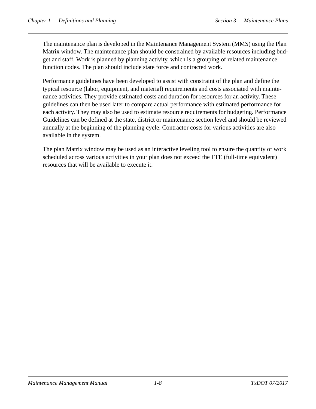The maintenance plan is developed in the Maintenance Management System (MMS) using the Plan Matrix window. The maintenance plan should be constrained by available resources including budget and staff. Work is planned by planning activity, which is a grouping of related maintenance function codes. The plan should include state force and contracted work.

Performance guidelines have been developed to assist with constraint of the plan and define the typical resource (labor, equipment, and material) requirements and costs associated with maintenance activities. They provide estimated costs and duration for resources for an activity. These guidelines can then be used later to compare actual performance with estimated performance for each activity. They may also be used to estimate resource requirements for budgeting. Performance Guidelines can be defined at the state, district or maintenance section level and should be reviewed annually at the beginning of the planning cycle. Contractor costs for various activities are also available in the system.

The plan Matrix window may be used as an interactive leveling tool to ensure the quantity of work scheduled across various activities in your plan does not exceed the FTE (full-time equivalent) resources that will be available to execute it.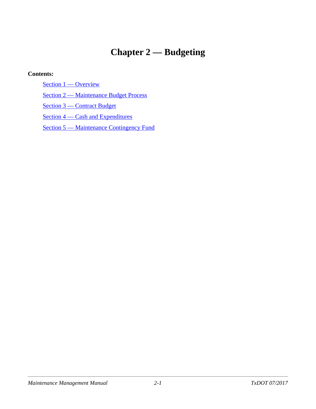# <span id="page-15-0"></span>**Chapter 2 — Budgeting**

#### **Contents:**

[Section 1 — Overview](#page-16-3)

[Section 2 — Maintenance Budget Process](#page-17-6)

[Section 3 — Contract Budget](#page-18-3)

Section 4 – Cash and Expenditures

[Section 5 — Maintenance Contingency Fund](#page-20-2)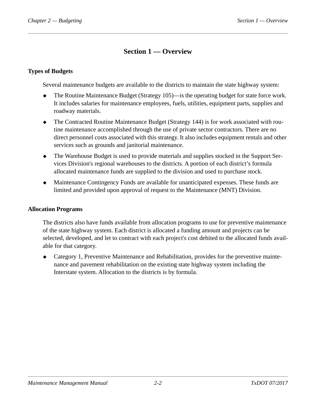# <span id="page-16-0"></span>**Section 1 — Overview**

#### <span id="page-16-3"></span><span id="page-16-1"></span>**Types of Budgets**

Several maintenance budgets are available to the districts to maintain the state highway system:

- The Routine Maintenance Budget (Strategy 105)—is the operating budget for state force work. It includes salaries for maintenance employees, fuels, utilities, equipment parts, supplies and roadway materials.
- The Contracted Routine Maintenance Budget (Strategy 144) is for work associated with routine maintenance accomplished through the use of private sector contractors. There are no direct personnel costs associated with this strategy. It also includes equipment rentals and other services such as grounds and janitorial maintenance.
- The Warehouse Budget is used to provide materials and supplies stocked in the Support Services Division's regional warehouses to the districts. A portion of each district's formula allocated maintenance funds are supplied to the division and used to purchase stock.
- Maintenance Contingency Funds are available for unanticipated expenses. These funds are limited and provided upon approval of request to the Maintenance (MNT) Division.

#### <span id="page-16-2"></span>**Allocation Programs**

The districts also have funds available from allocation programs to use for preventive maintenance of the state highway system. Each district is allocated a funding amount and projects can be selected, developed, and let to contract with each project's cost debited to the allocated funds available for that category.

 Category 1, Preventive Maintenance and Rehabilitation, provides for the preventive maintenance and pavement rehabilitation on the existing state highway system including the Interstate system. Allocation to the districts is by formula.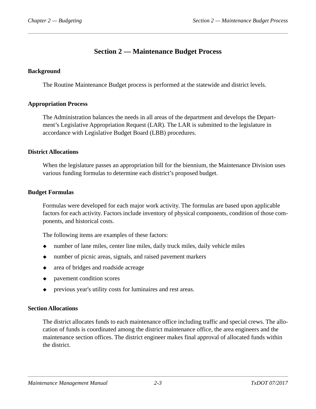# <span id="page-17-0"></span>**Section 2 — Maintenance Budget Process**

#### <span id="page-17-6"></span><span id="page-17-1"></span>**Background**

The Routine Maintenance Budget process is performed at the statewide and district levels.

#### <span id="page-17-2"></span>**Appropriation Process**

The Administration balances the needs in all areas of the department and develops the Department's Legislative Appropriation Request (LAR). The LAR is submitted to the legislature in accordance with Legislative Budget Board (LBB) procedures.

#### <span id="page-17-3"></span>**District Allocations**

When the legislature passes an appropriation bill for the biennium, the Maintenance Division uses various funding formulas to determine each district's proposed budget.

#### <span id="page-17-4"></span>**Budget Formulas**

Formulas were developed for each major work activity. The formulas are based upon applicable factors for each activity. Factors include inventory of physical components, condition of those components, and historical costs.

The following items are examples of these factors:

- number of lane miles, center line miles, daily truck miles, daily vehicle miles
- number of picnic areas, signals, and raised pavement markers
- area of bridges and roadside acreage
- pavement condition scores
- previous year's utility costs for luminaires and rest areas.

#### <span id="page-17-5"></span>**Section Allocations**

The district allocates funds to each maintenance office including traffic and special crews. The allocation of funds is coordinated among the district maintenance office, the area engineers and the maintenance section offices. The district engineer makes final approval of allocated funds within the district.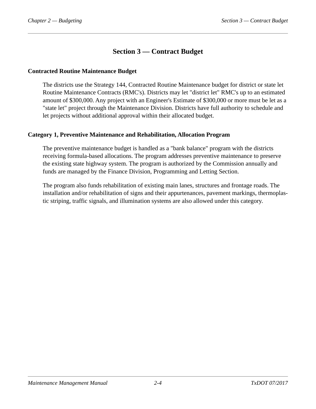# <span id="page-18-0"></span>**Section 3 — Contract Budget**

#### <span id="page-18-3"></span><span id="page-18-1"></span>**Contracted Routine Maintenance Budget**

The districts use the Strategy 144, Contracted Routine Maintenance budget for district or state let Routine Maintenance Contracts (RMC's). Districts may let "district let" RMC's up to an estimated amount of \$300,000. Any project with an Engineer's Estimate of \$300,000 or more must be let as a "state let" project through the Maintenance Division. Districts have full authority to schedule and let projects without additional approval within their allocated budget.

#### <span id="page-18-2"></span>**Category 1, Preventive Maintenance and Rehabilitation, Allocation Program**

The preventive maintenance budget is handled as a "bank balance" program with the districts receiving formula-based allocations. The program addresses preventive maintenance to preserve the existing state highway system. The program is authorized by the Commission annually and funds are managed by the Finance Division, Programming and Letting Section.

The program also funds rehabilitation of existing main lanes, structures and frontage roads. The installation and/or rehabilitation of signs and their appurtenances, pavement markings, thermoplastic striping, traffic signals, and illumination systems are also allowed under this category.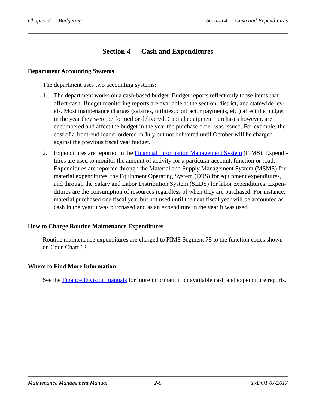# <span id="page-19-0"></span>**Section 4 — Cash and Expenditures**

#### <span id="page-19-4"></span><span id="page-19-1"></span>**Department Accounting Systems**

The department uses two accounting systems:

- 1. The department works on a cash-based budget. Budget reports reflect only those items that affect cash. Budget monitoring reports are available at the section, district, and statewide levels. Most maintenance charges (salaries, utilities, contractor payments, etc.) affect the budget in the year they were performed or delivered. Capital equipment purchases however, are encumbered and affect the budget in the year the purchase order was issued. For example, the cost of a front-end loader ordered in July but not delivered until October will be charged against the previous fiscal year budget.
- 2. Expenditures are reported in the [Financial Information Management System](../glo/f.htm#i1005192) (FIMS). Expenditures are used to monitor the amount of activity for a particular account, function or road. Expenditures are reported through the Material and Supply Management System (MSMS) for material expenditures, the Equipment Operating System (EOS) for equipment expenditures, and through the Salary and Labor Distribution System (SLDS) for labor expenditures. Expenditures are the consumption of resources regardless of when they are purchased. For instance, material purchased one fiscal year but not used until the next fiscal year will be accounted as cash in the year it was purchased and as an expenditure in the year it was used.

#### <span id="page-19-2"></span>**How to Charge Routine Maintenance Expenditures**

Routine maintenance expenditures are charged to FIMS Segment 78 to the function codes shown on Code Chart 12.

#### <span id="page-19-3"></span>**Where to Find More Information**

See the [Finance Division manuals](../fmp/index.htm) for more information on available cash and expenditure reports.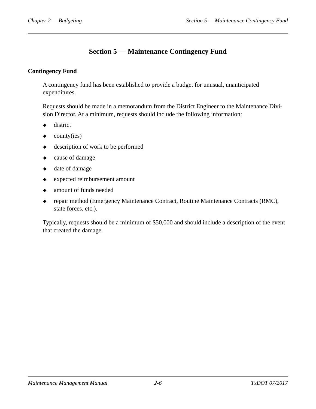# <span id="page-20-0"></span>**Section 5 — Maintenance Contingency Fund**

#### <span id="page-20-2"></span><span id="page-20-1"></span>**Contingency Fund**

A contingency fund has been established to provide a budget for unusual, unanticipated expenditures.

Requests should be made in a memorandum from the District Engineer to the Maintenance Division Director. At a minimum, requests should include the following information:

- $\bullet$  district
- $\bullet$  county(ies)
- $\bullet$  description of work to be performed
- cause of damage
- date of damage
- expected reimbursement amount
- amount of funds needed
- repair method (Emergency Maintenance Contract, Routine Maintenance Contracts (RMC), state forces, etc.).

Typically, requests should be a minimum of \$50,000 and should include a description of the event that created the damage.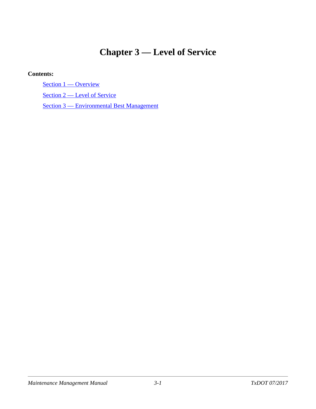# <span id="page-21-0"></span>**Chapter 3 — Level of Service**

#### **Contents:**

[Section 1 — Overview](#page-22-2)

[Section 2 — Level of Service](#page-23-5)

[Section 3 — Environmental Best Management](#page-28-2)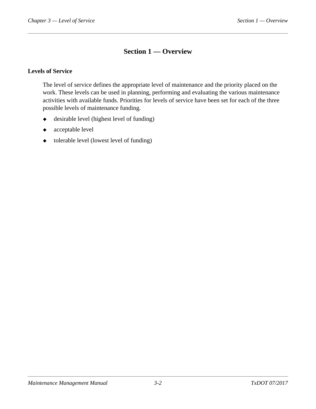# <span id="page-22-0"></span>**Section 1 — Overview**

#### <span id="page-22-2"></span><span id="page-22-1"></span>**Levels of Service**

The level of service defines the appropriate level of maintenance and the priority placed on the work. These levels can be used in planning, performing and evaluating the various maintenance activities with available funds. Priorities for levels of service have been set for each of the three possible levels of maintenance funding.

- desirable level (highest level of funding)
- acceptable level
- tolerable level (lowest level of funding)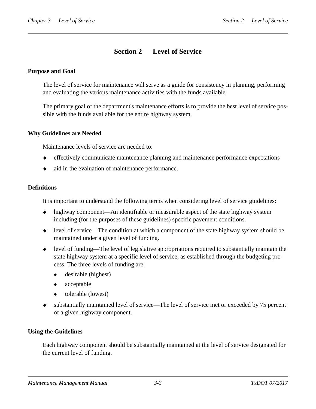# <span id="page-23-0"></span>**Section 2 — Level of Service**

#### <span id="page-23-5"></span><span id="page-23-1"></span>**Purpose and Goal**

The level of service for maintenance will serve as a guide for consistency in planning, performing and evaluating the various maintenance activities with the funds available.

The primary goal of the department's maintenance efforts is to provide the best level of service possible with the funds available for the entire highway system.

#### <span id="page-23-2"></span>**Why Guidelines are Needed**

Maintenance levels of service are needed to:

- effectively communicate maintenance planning and maintenance performance expectations
- $\bullet$  aid in the evaluation of maintenance performance.

#### <span id="page-23-3"></span>**Definitions**

It is important to understand the following terms when considering level of service guidelines:

- highway component—An identifiable or measurable aspect of the state highway system including (for the purposes of these guidelines) specific pavement conditions.
- level of service—The condition at which a component of the state highway system should be maintained under a given level of funding.
- level of funding—The level of legislative appropriations required to substantially maintain the state highway system at a specific level of service, as established through the budgeting process. The three levels of funding are:
	- desirable (highest)
	- acceptable
	- tolerable (lowest)
- substantially maintained level of service—The level of service met or exceeded by 75 percent of a given highway component.

#### <span id="page-23-4"></span>**Using the Guidelines**

Each highway component should be substantially maintained at the level of service designated for the current level of funding.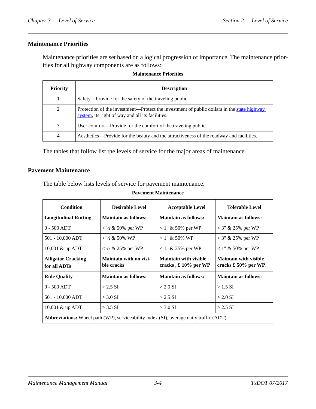#### <span id="page-24-0"></span>**Maintenance Priorities**

Maintenance priorities are set based on a logical progression of importance. The maintenance priorities for all highway components are as follows:

| <b>Priority</b> | <b>Description</b>                                                                                                                             |
|-----------------|------------------------------------------------------------------------------------------------------------------------------------------------|
|                 | Safety—Provide for the safety of the traveling public.                                                                                         |
| 2               | Protection of the investment—Protect the investment of public dollars in the state highway<br>system, its right of way and all its facilities. |
| 3               | User comfort—Provide for the comfort of the traveling public.                                                                                  |
| 4               | Aesthetics—Provide for the beauty and the attractiveness of the roadway and facilities.                                                        |

#### **Maintenance Priorities**

The tables that follow list the levels of service for the major areas of maintenance.

#### <span id="page-24-1"></span>**Pavement Maintenance**

The table below lists levels of service for pavement maintenance.

| Condition                                                                                     | <b>Desirable Level</b>                      | <b>Acceptable Level</b>                                       | <b>Tolerable Level</b>                                        |
|-----------------------------------------------------------------------------------------------|---------------------------------------------|---------------------------------------------------------------|---------------------------------------------------------------|
| <b>Longitudinal Rutting</b>                                                                   | <b>Maintain as follows:</b>                 | <b>Maintain as follows:</b>                                   | <b>Maintain as follows:</b>                                   |
| $0 - 500$ ADT                                                                                 | $<$ ½ & 50% per WP                          | $1''$ & 50% per WP                                            | $<$ 3" & 25% per WP                                           |
| 501 - 10,000 ADT                                                                              | $<$ ½ & 50% WP                              | $< 1$ " & 50% WP                                              | $<$ 3" & 25% per WP                                           |
| 10,001 $&$ up ADT                                                                             | $<$ 1/2 & 25% per WP                        | $1''$ & 25% per WP                                            | $1''$ & 50% per WP                                            |
| <b>Alligator Cracking</b><br>for all ADTs                                                     | <b>Maintain with no visi-</b><br>ble cracks | <b>Maintain with visible</b><br>cracks, $\pounds 10\%$ per WP | <b>Maintain with visible</b><br>cracks $\pounds 50\%$ per WP. |
| <b>Ride Quality</b>                                                                           | <b>Maintain as follows:</b>                 | <b>Maintain as follows:</b>                                   | <b>Maintain as follows:</b>                                   |
| $0 - 500$ ADT                                                                                 | $> 2.5$ SI                                  | $>$ 2.0 SI                                                    | $> 1.5$ SI                                                    |
| 501 - 10,000 ADT                                                                              | $>$ 3.0 SI                                  | $> 2.5$ SI                                                    | $>$ 2.0 SI                                                    |
| 10,001 $&$ up ADT                                                                             | $>$ 3.5 SI                                  | $>$ 3.0 SI                                                    | $> 2.5$ SI                                                    |
| <b>Abbreviations:</b> Wheel path (WP), serviceability index (SI), average daily traffic (ADT) |                                             |                                                               |                                                               |

#### **Pavement Maintenance**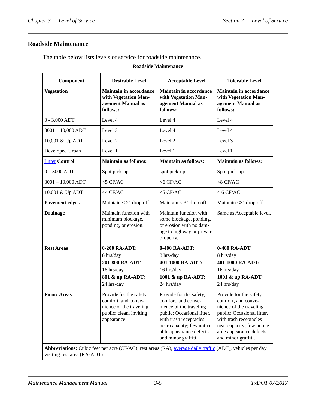### <span id="page-25-0"></span>**Roadside Maintenance**

 $\overline{a}$ 

The table below lists levels of service for roadside maintenance.

#### **Roadside Maintenance**

| Component             | <b>Desirable Level</b>                                                                                                                                                                                                           | <b>Acceptable Level</b>                                                                                                                                                                                           | <b>Tolerable Level</b>                                                                                                                                                                                            |
|-----------------------|----------------------------------------------------------------------------------------------------------------------------------------------------------------------------------------------------------------------------------|-------------------------------------------------------------------------------------------------------------------------------------------------------------------------------------------------------------------|-------------------------------------------------------------------------------------------------------------------------------------------------------------------------------------------------------------------|
| <b>Vegetation</b>     | <b>Maintain in accordance</b><br>with Vegetation Man-<br>agement Manual as<br>follows:                                                                                                                                           | <b>Maintain in accordance</b><br>with Vegetation Man-<br>agement Manual as<br>follows:                                                                                                                            | <b>Maintain in accordance</b><br>with Vegetation Man-<br>agement Manual as<br>follows:                                                                                                                            |
| $0 - 3,000$ ADT       | Level 4                                                                                                                                                                                                                          | Level 4                                                                                                                                                                                                           | Level 4                                                                                                                                                                                                           |
| $3001 - 10,000$ ADT   | Level 3                                                                                                                                                                                                                          | Level 4                                                                                                                                                                                                           | Level 4                                                                                                                                                                                                           |
| 10,001 & Up ADT       | Level 2                                                                                                                                                                                                                          | Level 2                                                                                                                                                                                                           | Level 3                                                                                                                                                                                                           |
| Developed Urban       | Level 1                                                                                                                                                                                                                          | Level 1                                                                                                                                                                                                           | Level 1                                                                                                                                                                                                           |
| <b>Litter Control</b> | <b>Maintain as follows:</b>                                                                                                                                                                                                      | <b>Maintain as follows:</b>                                                                                                                                                                                       | <b>Maintain as follows:</b>                                                                                                                                                                                       |
| $0 - 3000$ ADT        | Spot pick-up                                                                                                                                                                                                                     | spot pick-up                                                                                                                                                                                                      | Spot pick-up                                                                                                                                                                                                      |
| $3001 - 10,000$ ADT   | $<$ 5 CF/AC                                                                                                                                                                                                                      | $<$ 6 CF/AC                                                                                                                                                                                                       | $<$ 8 CF/AC                                                                                                                                                                                                       |
| 10,001 & Up ADT       | $<$ 4 CF/AC                                                                                                                                                                                                                      | $<$ 5 CF/AC                                                                                                                                                                                                       | $<$ 6 CF/AC                                                                                                                                                                                                       |
| <b>Pavement edges</b> | Maintain $<$ 2" drop off.                                                                                                                                                                                                        | Maintain $<$ 3" drop off.                                                                                                                                                                                         | Maintain <3" drop off.                                                                                                                                                                                            |
| <b>Drainage</b>       | Maintain function with<br>minimum blockage,<br>ponding, or erosion.                                                                                                                                                              | Maintain function with<br>some blockage, ponding,<br>or erosion with no dam-<br>age to highway or private<br>property.                                                                                            | Same as Acceptable level.                                                                                                                                                                                         |
| <b>Rest Areas</b>     | 0-200 RA-ADT:<br>8 hrs/day<br>201-800 RA-ADT:<br>16 hrs/day<br>801 & up RA-ADT:<br>24 hrs/day                                                                                                                                    | $0-400$ RA-ADT:<br>8 hrs/day<br>401-1000 RA-ADT:<br>16 hrs/day<br>1001 & up RA-ADT:<br>24 hrs/day                                                                                                                 | $0-400$ RA-ADT:<br>8 hrs/day<br>401-1000 RA-ADT:<br>16 hrs/day<br>1001 & up RA-ADT:<br>24 hrs/day                                                                                                                 |
| <b>Picnic Areas</b>   | Provide for the safety,<br>comfort, and conve-<br>nience of the traveling<br>public; clean, inviting<br>appearance<br>Abbreviations: Cubic feet per acre (CF/AC), rest areas (RA), average daily traffic (ADT), vehicles per day | Provide for the safety,<br>comfort, and conve-<br>nience of the traveling<br>public; Occasional litter,<br>with trash receptacles<br>near capacity; few notice-<br>able appearance defects<br>and minor graffiti. | Provide for the safety,<br>comfort, and conve-<br>nience of the traveling<br>public; Occasional litter,<br>with trash receptacles<br>near capacity; few notice-<br>able appearance defects<br>and minor graffiti. |

visiting rest area (RA-ADT)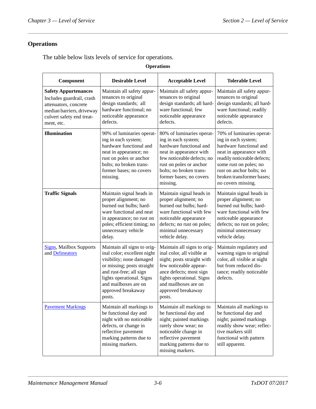# <span id="page-26-0"></span>**Operations**

The table below lists levels of service for operations.

#### **Operations**

| Component                                                                                                                                                 | <b>Desirable Level</b>                                                                                                                                                                                                               | <b>Acceptable Level</b>                                                                                                                                                                                                           | <b>Tolerable Level</b>                                                                                                                                                                                                                         |
|-----------------------------------------------------------------------------------------------------------------------------------------------------------|--------------------------------------------------------------------------------------------------------------------------------------------------------------------------------------------------------------------------------------|-----------------------------------------------------------------------------------------------------------------------------------------------------------------------------------------------------------------------------------|------------------------------------------------------------------------------------------------------------------------------------------------------------------------------------------------------------------------------------------------|
| <b>Safety Appurtenances</b><br>Includes guardrail, crash<br>attenuators, concrete<br>median barriers, driveway<br>culvert safety end treat-<br>ment, etc. | Maintain all safety appur-<br>tenances to original<br>design standards; all<br>hardware functional; no<br>noticeable appearance<br>defects.                                                                                          | Maintain all safety appur-<br>tenances to original<br>design standards; all hard-<br>ware functional; few<br>noticeable appearance<br>defects.                                                                                    | Maintain all safety appur-<br>tenances to original<br>design standards; all hard-<br>ware functional; readily<br>noticeable appearance<br>defects.                                                                                             |
| <b>Illumination</b>                                                                                                                                       | 90% of luminaries operat-<br>ing in each system;<br>hardware functional and<br>neat in appearance; no<br>rust on poles or anchor<br>bolts; no broken trans-<br>former bases; no covers<br>missing.                                   | 80% of luminaries operat-<br>ing in each system;<br>hardware functional and<br>neat in appearance with<br>few noticeable defects; no<br>rust on poles or anchor<br>bolts; no broken trans-<br>former bases; no covers<br>missing. | 70% of luminaries operat-<br>ing in each system;<br>hardware functional and<br>neat in appearance with<br>readily noticeable defects;<br>some rust on poles; no<br>rust on anchor bolts; no<br>broken transformer bases;<br>no covers missing. |
| <b>Traffic Signals</b>                                                                                                                                    | Maintain signal heads in<br>proper alignment; no<br>burned out bulbs; hard-<br>ware functional and neat<br>in appearance; no rust on<br>poles; efficient timing; no<br>unnecessary vehicle<br>delay.                                 | Maintain signal heads in<br>proper alignment; no<br>burned out bulbs; hard-<br>ware functional with few<br>noticeable appearance<br>defects; no rust on poles;<br>minimal unnecessary<br>vehicle delay.                           | Maintain signal heads in<br>proper alignment; no<br>burned out bulbs; hard-<br>ware functional with few<br>noticeable appearance<br>defects; no rust on poles;<br>minimal unnecessary<br>vehicle delay.                                        |
| <b>Signs</b> , Mailbox Supports<br>and Delineators                                                                                                        | Maintain all signs to orig-<br>inal color; excellent night<br>visibility; none damaged<br>or missing; posts straight<br>and rust-free; all sign<br>lights operational. Signs<br>and mailboxes are on<br>approved breakaway<br>posts. | Maintain all signs to orig-<br>inal color, all visible at<br>night; posts straight with<br>few noticeable appear-<br>ance defects; most sign<br>lights operational. Signs<br>and mailboxes are on<br>approved breakaway<br>posts. | Maintain regulatory and<br>warning signs to original<br>color, all visible at night<br>but from reduced dis-<br>tance; readily noticeable<br>defects.                                                                                          |
| <b>Pavement Markings</b>                                                                                                                                  | Maintain all markings to<br>be functional day and<br>night with no noticeable<br>defects, or change in<br>reflective pavement<br>marking patterns due to<br>missing markers.                                                         | Maintain all markings to<br>be functional day and<br>night; painted markings<br>rarely show wear; no<br>noticeable change in<br>reflective pavement<br>marking patterns due to<br>missing markers.                                | Maintain all markings to<br>be functional day and<br>night; painted markings<br>readily show wear; reflec-<br>tive markers still<br>functional with pattern<br>still apparent.                                                                 |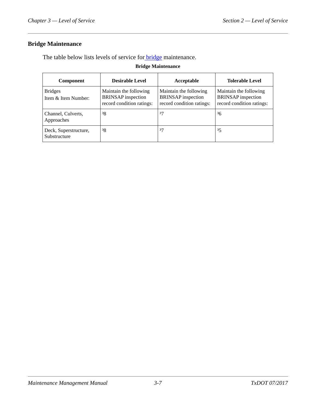### <span id="page-27-0"></span>**Bridge Maintenance**

The table below lists levels of service for **bridge** maintenance.

#### **Bridge Maintenance**

| Component                             | <b>Desirable Level</b>                                                           | Acceptable                                                                       | <b>Tolerable Level</b>                                                           |
|---------------------------------------|----------------------------------------------------------------------------------|----------------------------------------------------------------------------------|----------------------------------------------------------------------------------|
| <b>Bridges</b><br>Item & Item Number: | Maintain the following<br><b>BRINSAP</b> inspection<br>record condition ratings: | Maintain the following<br><b>BRINSAP</b> inspection<br>record condition ratings: | Maintain the following<br><b>BRINSAP</b> inspection<br>record condition ratings: |
| Channel, Culverts,<br>Approaches      | 38                                                                               | 37                                                                               | 36                                                                               |
| Deck, Superstructure,<br>Substructure | 38                                                                               | 37                                                                               | 35                                                                               |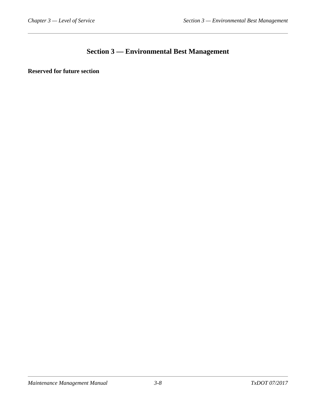# <span id="page-28-0"></span>**Section 3 — Environmental Best Management**

<span id="page-28-2"></span><span id="page-28-1"></span>**Reserved for future section**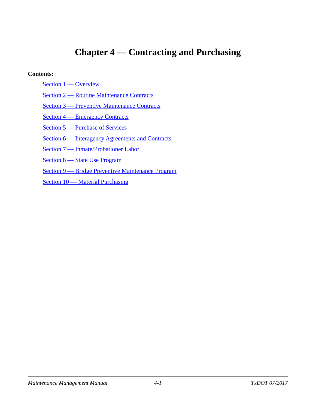# <span id="page-29-0"></span>**Chapter 4 — Contracting and Purchasing**

#### **Contents:**

- [Section 1 Overview](#page-30-2)
- [Section 2 Routine Maintenance Contracts](#page-31-6)
- [Section 3 Preventive Maintenance Contracts](#page-32-2)
- [Section 4 Emergency Contracts](#page-33-3)
- [Section 5 Purchase of Services](#page-34-3)
- [Section 6 Interagency Agreements and Contracts](#page-35-3)
- [Section 7 Inmate/Probationer Labor](#page-37-4)
- [Section 8 State Use Program](#page-39-4)
- [Section 9 Bridge Preventive Maintenance Program](#page-40-4)
- [Section 10 Material Purchasing](#page-42-3)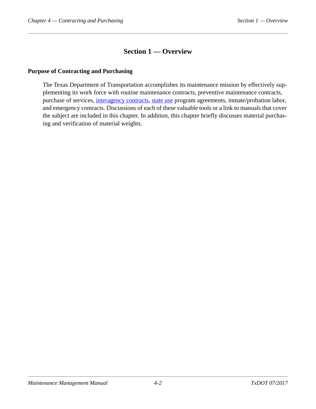## <span id="page-30-0"></span>**Section 1 — Overview**

#### <span id="page-30-2"></span><span id="page-30-1"></span>**Purpose of Contracting and Purchasing**

The Texas Department of Transportation accomplishes its maintenance mission by effectively supplementing its work force with routine maintenance contracts, preventive maintenance contracts, purchase of services, [interagency contracts](../glo/i.htm#NLIHLKIJ), [state use](../glo/s.htm#i1012583) program agreements, inmate/probation labor, and emergency contracts. Discussions of each of these valuable tools or a link to manuals that cover the subject are included in this chapter. In addition, this chapter briefly discusses material purchasing and verification of material weights.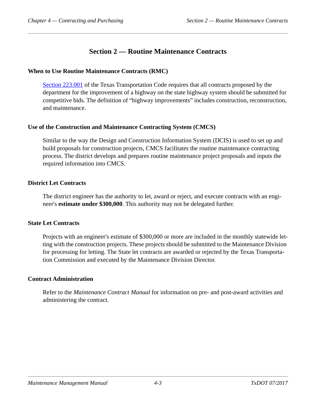# <span id="page-31-0"></span>**Section 2 — Routine Maintenance Contracts**

#### <span id="page-31-6"></span><span id="page-31-1"></span>**When to Use Routine Maintenance Contracts (RMC)**

[Section 223.001](http://www.statutes.legis.state.tx.us/Docs/TN/htm/TN.223.htm) of the Texas Transportation Code requires that all contracts proposed by the department for the improvement of a highway on the state highway system should be submitted for competitive bids. The definition of "highway improvements" includes construction, reconstruction, and maintenance.

#### <span id="page-31-2"></span>**Use of the Construction and Maintenance Contracting System (CMCS)**

Similar to the way the Design and Construction Information System (DCIS) is used to set up and build proposals for construction projects, CMCS facilitates the routine maintenance contracting process. The district develops and prepares routine maintenance project proposals and inputs the required information into CMCS.

#### <span id="page-31-3"></span>**District Let Contracts**

The district engineer has the authority to let, award or reject, and execute contracts with an engineer's **estimate under \$300,000**. This authority may not be delegated further.

#### <span id="page-31-4"></span>**State Let Contracts**

Projects with an engineer's estimate of \$300,000 or more are included in the monthly statewide letting with the construction projects. These projects should be submitted to the Maintenance Division for processing for letting. The State let contracts are awarded or rejected by the Texas Transportation Commission and executed by the Maintenance Division Director.

#### <span id="page-31-5"></span>**Contract Administration**

Refer to the *Maintenance Contract Manual* for information on pre- and post-award activities and administering the contract.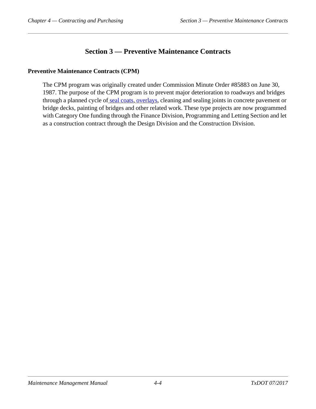# <span id="page-32-0"></span>**Section 3 — Preventive Maintenance Contracts**

#### <span id="page-32-2"></span><span id="page-32-1"></span>**Preventive Maintenance Contracts (CPM)**

The CPM program was originally created under Commission Minute Order #85883 on June 30, 1987. The purpose of the CPM program is to prevent major deterioration to roadways and bridges through a planned cycle of [seal coats,](../glo/s.htm#i1009940) [overlays,](../glo/o.htm#i1002900) cleaning and sealing joints in concrete pavement or bridge decks, painting of bridges and other related work. These type projects are now programmed with Category One funding through the Finance Division, Programming and Letting Section and let as a construction contract through the Design Division and the Construction Division.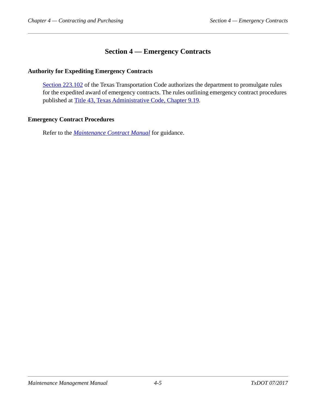# <span id="page-33-0"></span>**Section 4 — Emergency Contracts**

#### <span id="page-33-3"></span><span id="page-33-1"></span>**Authority for Expediting Emergency Contracts**

[Section 223.102](http://www.statutes.legis.state.tx.us/Docs/TN/htm/TN.223.htm) of the Texas Transportation Code authorizes the department to promulgate rules for the expedited award of emergency contracts. The rules outlining emergency contract procedures published at [Title 43, Texas Administrative Code, Chapter 9.19.](http://info.sos.state.tx.us/pls/pub/readtac$ext.TacPage?sl=R&app=9&p_dir=&p_rloc=&p_tloc=&p_ploc=&pg=1&p_tac=&ti=43&pt=1&ch=9&rl=19)

#### <span id="page-33-2"></span>**Emergency Contract Procedures**

Refer to the *[Maintenance Contract Manual](../mct/index.htm)* for guidance.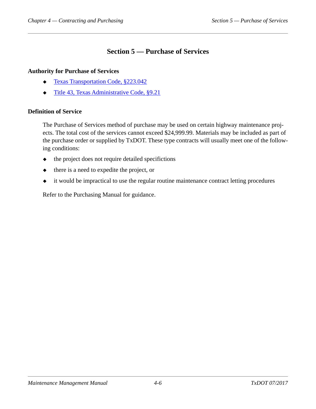# <span id="page-34-0"></span>**Section 5 — Purchase of Services**

#### <span id="page-34-3"></span><span id="page-34-1"></span>**Authority for Purchase of Services**

- ◆ [Texas Transportation Code, §223.042](http://www.statutes.legis.state.tx.us/Docs/TN/htm/TN.223.htm#223.042)
- [Title 43, Texas Administrative Code, §9.21](http://info.sos.state.tx.us/pls/pub/readtac$ext.TacPage?sl=R&app=9&p_dir=&p_rloc=&p_tloc=&p_ploc=&pg=1&p_tac=&ti=43&pt=1&ch=9&rl=21)

#### <span id="page-34-2"></span>**Definition of Service**

The Purchase of Services method of purchase may be used on certain highway maintenance projects. The total cost of the services cannot exceed \$24,999.99. Materials may be included as part of the purchase order or supplied by TxDOT. These type contracts will usually meet one of the following conditions:

- $\bullet$  the project does not require detailed specifictions
- $\bullet$  there is a need to expedite the project, or
- it would be impractical to use the regular routine maintenance contract letting procedures

Refer to the Purchasing Manual for guidance.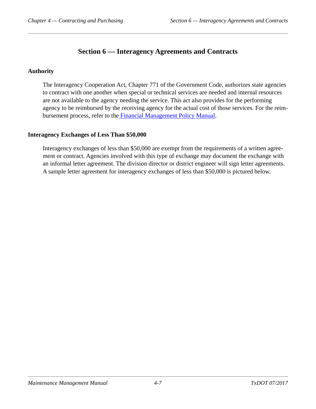# <span id="page-35-0"></span>**Section 6 — Interagency Agreements and Contracts**

#### <span id="page-35-3"></span><span id="page-35-1"></span>**Authority**

The Interagency Cooperation Act, Chapter 771 of the Government Code, authorizes state agencies to contract with one another when special or technical services are needed and internal resources are not available to the agency needing the service. This act also provides for the performing agency to be reimbursed by the receiving agency for the actual cost of those services. For the reimbursement process, refer to th[e Financial Management Policy Manual.](../fmp/index.htm)

#### <span id="page-35-2"></span>**Interagency Exchanges of Less Than \$50,000**

Interagency exchanges of less than \$50,000 are exempt from the requirements of a written agreement or contract. Agencies involved with this type of exchange may document the exchange with an informal letter agreement. The division director or district engineer will sign letter agreements. A sample letter agreement for interagency exchanges of less than \$50,000 is pictured below.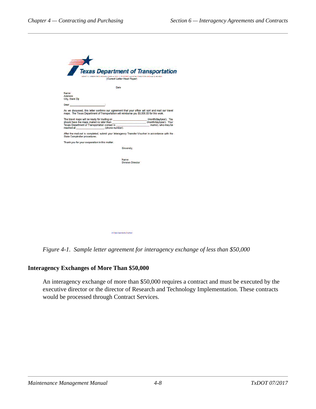|                                                                                           | Date |                                  |                                                                                                    |  |
|-------------------------------------------------------------------------------------------|------|----------------------------------|----------------------------------------------------------------------------------------------------|--|
| Name<br><b>Address</b><br><b>City, State Zip</b>                                          |      |                                  |                                                                                                    |  |
| <b>Dear Dear</b>                                                                          |      |                                  |                                                                                                    |  |
| maps. The Texas Department of Transportation will reimburse you \$3,000.00 for this work. |      |                                  | As we discussed, this letter confirms our agreement that your office will sort and mail our travel |  |
|                                                                                           |      |                                  | should have the maps mailed no later than (month/day/year). Your                                   |  |
| Texas Department of Transportation contact is                                             |      |                                  | (name), who may be                                                                                 |  |
| reached at (phone number).                                                                |      |                                  |                                                                                                    |  |
| <b>State Comptroller procedures.</b>                                                      |      |                                  | After the mail-out is completed, submit your Interagency Transfer Voucher in accordance with the   |  |
| Thank you for your cooperation in this matter.                                            |      |                                  |                                                                                                    |  |
|                                                                                           |      | Sincerely.                       |                                                                                                    |  |
|                                                                                           |      |                                  |                                                                                                    |  |
|                                                                                           |      |                                  |                                                                                                    |  |
|                                                                                           |      | Name<br><b>Division Director</b> |                                                                                                    |  |
|                                                                                           |      |                                  |                                                                                                    |  |
|                                                                                           |      |                                  |                                                                                                    |  |
|                                                                                           |      |                                  |                                                                                                    |  |
|                                                                                           |      |                                  |                                                                                                    |  |
|                                                                                           |      |                                  |                                                                                                    |  |
|                                                                                           |      |                                  |                                                                                                    |  |
|                                                                                           |      |                                  |                                                                                                    |  |
|                                                                                           |      |                                  |                                                                                                    |  |

An Equiv Oppositely Emphasiz

*Figure 4-1. Sample letter agreement for interagency exchange of less than \$50,000*

# **Interagency Exchanges of More Than \$50,000**

An interagency exchange of more than \$50,000 requires a contract and must be executed by the executive director or the director of Research and Technology Implementation. These contracts would be processed through Contract Services.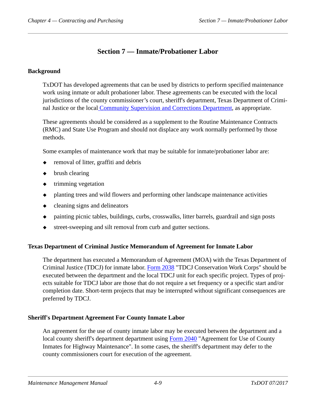# **Section 7 — Inmate/Probationer Labor**

#### **Background**

TxDOT has developed agreements that can be used by districts to perform specified maintenance work using inmate or adult probationer labor. These agreements can be executed with the local jurisdictions of the county commissioner's court, sheriff's department, Texas Department of Criminal Justice or the loca[l Community Supervision and Corrections Department,](../glo/c.htm#i1013330) as appropriate.

These agreements should be considered as a supplement to the Routine Maintenance Contracts (RMC) and State Use Program and should not displace any work normally performed by those methods.

Some examples of maintenance work that may be suitable for inmate/probationer labor are:

- removal of litter, graffiti and debris
- brush clearing
- trimming vegetation
- planting trees and wild flowers and performing other landscape maintenance activities
- $\leftarrow$  cleaning signs and delineators
- painting picnic tables, buildings, curbs, crosswalks, litter barrels, guardrail and sign posts
- street-sweeping and silt removal from curb and gutter sections.

#### **Texas Department of Criminal Justice Memorandum of Agreement for Inmate Labor**

The department has executed a Memorandum of Agreement (MOA) with the Texas Department of Criminal Justice (TDCJ) for inmate labor. [Form 2038](http://www.txdot.gov/txdoteforms/GetForm?formName=/2038.xdp&appID=/MNT&status=/reportError.jsp&configFile=WFServletConfig.xml) "TDCJ Conservation Work Corps" should be executed between the department and the local TDCJ unit for each specific project. Types of projects suitable for TDCJ labor are those that do not require a set frequency or a specific start and/or completion date. Short-term projects that may be interrupted without significant consequences are preferred by TDCJ.

#### **Sheriff's Department Agreement For County Inmate Labor**

An agreement for the use of county inmate labor may be executed between the department and a local county sheriff's department department using [Form 2040](http://www.txdot.gov/txdoteforms/SaveForm?formName=/2040.xdp&appID=/MNT&status=/reportError.jsp&configFile=WFServletConfig.xml) "Agreement for Use of County Inmates for Highway Maintenance". In some cases, the sheriff's department may defer to the county commissioners court for execution of the agreement.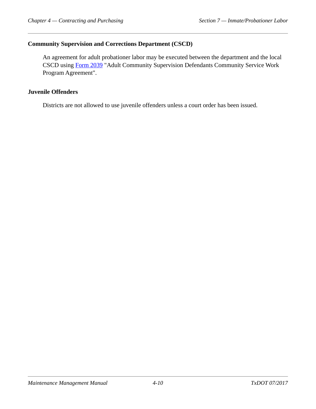## **Community Supervision and Corrections Department (CSCD)**

An agreement for adult probationer labor may be executed between the department and the local CSCD using [Form 2039](http://www.txdot.gov/txdoteforms/GetForm?formName=/2039.xdp&appID=/MNT&status=/reportError.jsp&configFile=WFServletConfig.xml) "Adult Community Supervision Defendants Community Service Work Program Agreement".

#### **Juvenile Offenders**

Districts are not allowed to use juvenile offenders unless a court order has been issued.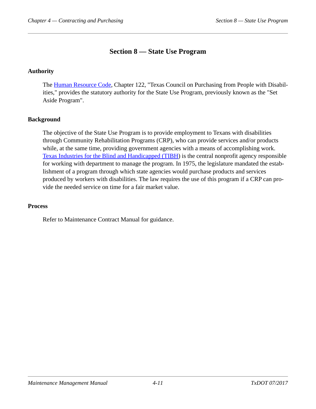# **Section 8 — State Use Program**

# **Authority**

The [Human Resource Code](http://www.statutes.legis.state.tx.us/Docs/HR/htm/HR.122.htm), Chapter 122, "Texas Council on Purchasing from People with Disabilities," provides the statutory authority for the State Use Program, previously known as the "Set Aside Program".

# **Background**

The objective of the State Use Program is to provide employment to Texans with disabilities through Community Rehabilitation Programs (CRP), who can provide services and/or products while, at the same time, providing government agencies with a means of accomplishing work. [Texas Industries for the Blind and Handicapped \(TIBH\)](../glo/t.htm#i1008338) is the central nonprofit agency responsible for working with department to manage the program. In 1975, the legislature mandated the establishment of a program through which state agencies would purchase products and services produced by workers with disabilities. The law requires the use of this program if a CRP can provide the needed service on time for a fair market value.

#### **Process**

Refer to Maintenance Contract Manual for guidance.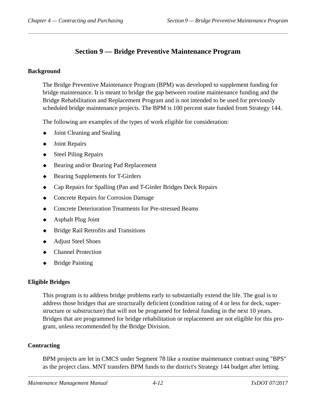# **Section 9 — Bridge Preventive Maintenance Program**

#### **Background**

The Bridge Preventive Maintenance Program (BPM) was developed to supplement funding for bridge maintenance. It is meant to bridge the gap between routine maintenance funding and the Bridge Rehabilitation and Replacement Program and is not intended to be used for previously scheduled bridge maintenance projects. The BPM is 100 percent state funded from Strategy 144.

The following are examples of the types of work eligible for consideration:

- $\bullet$  Joint Cleaning and Sealing
- ◆ Joint Repairs
- ◆ Steel Piling Repairs
- ◆ Bearing and/or Bearing Pad Replacement
- ◆ Bearing Supplements for T-Girders
- Cap Repairs for Spalling (Pan and T-Girder Bridges Deck Repairs
- Concrete Repairs for Corrosion Damage
- Concrete Deterioration Treatments for Pre-stressed Beams
- ◆ Asphalt Plug Joint
- Bridge Rail Retrofits and Transitions
- Adjust Steel Shoes
- Channel Protection
- Bridge Painting

# **Eligible Bridges**

This program is to address bridge problems early to substantially extend the life. The goal is to address those bridges that are structurally deficient (condition rating of 4 or less for deck, superstructure or substructure) that will not be programed for federal funding in the next 10 years. Bridges that are programmed for bridge rehabilitation or replacement are not eligible for this program, unless recommended by the Bridge Division.

# **Contracting**

BPM projects are let in CMCS under Segment 78 like a routine maintenance contract using "BPS" as the project class. MNT transfers BPM funds to the district's Strategy 144 budget after letting.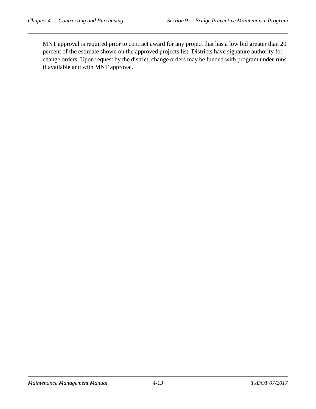MNT approval is required prior to contract award for any project that has a low bid greater than 20 percent of the estimate shown on the approved projects list. Districts have signature authority for change orders. Upon request by the district, change orders may be funded with program under-runs if available and with MNT approval.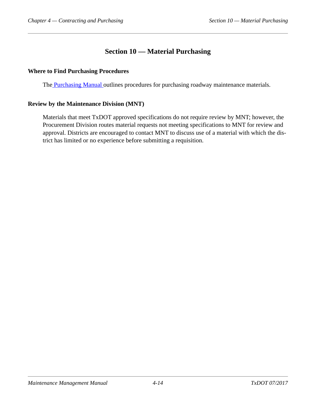# **Section 10 — Material Purchasing**

## **Where to Find Purchasing Procedures**

Th[e Purchasing Manual](../pro/index.htm) outlines procedures for purchasing roadway maintenance materials.

## **Review by the Maintenance Division (MNT)**

Materials that meet TxDOT approved specifications do not require review by MNT; however, the Procurement Division routes material requests not meeting specifications to MNT for review and approval. Districts are encouraged to contact MNT to discuss use of a material with which the district has limited or no experience before submitting a requisition.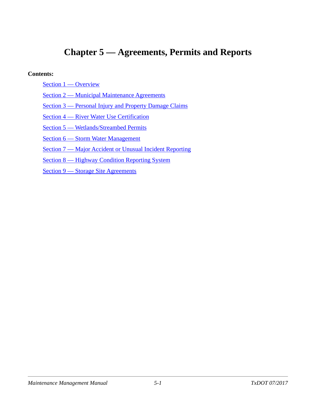# **Chapter 5 — Agreements, Permits and Reports**

#### **Contents:**

- [Section 1 Overview](#page-44-0)
- [Section 2 Municipal Maintenance Agreements](#page-45-0)
- [Section 3 Personal Injury and Property Damage Claims](#page-47-0)
- [Section 4 River Water Use Certification](#page-49-0)
- [Section 5 Wetlands/Streambed Permits](#page-50-0)
- [Section 6 Storm Water Management](#page-52-0)
- [Section 7 Major Accident or Unusual Incident Reporting](#page-54-0)
- [Section 8 Highway Condition Reporting System](#page-55-0)
- [Section 9 Storage Site Agreements](#page-56-0)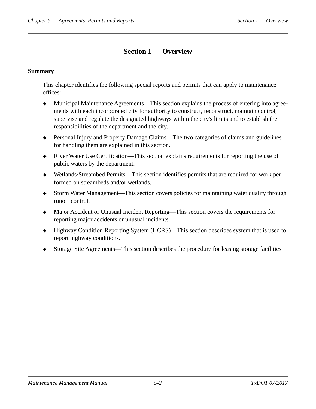# **Section 1 — Overview**

## <span id="page-44-0"></span>**Summary**

This chapter identifies the following special reports and permits that can apply to maintenance offices:

- Municipal Maintenance Agreements—This section explains the process of entering into agreements with each incorporated city for authority to construct, reconstruct, maintain control, supervise and regulate the designated highways within the city's limits and to establish the responsibilities of the department and the city.
- Personal Injury and Property Damage Claims—The two categories of claims and guidelines for handling them are explained in this section.
- River Water Use Certification—This section explains requirements for reporting the use of public waters by the department.
- Wetlands/Streambed Permits—This section identifies permits that are required for work performed on streambeds and/or wetlands.
- Storm Water Management—This section covers policies for maintaining water quality through runoff control.
- Major Accident or Unusual Incident Reporting—This section covers the requirements for reporting major accidents or unusual incidents.
- ◆ Highway Condition Reporting System (HCRS)—This section describes system that is used to report highway conditions.
- Storage Site Agreements—This section describes the procedure for leasing storage facilities.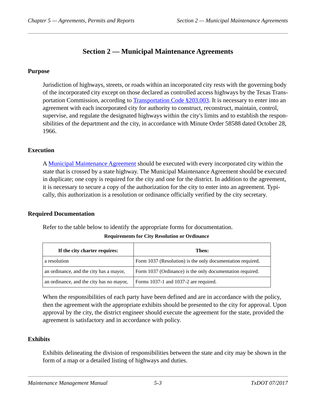# **Section 2 — Municipal Maintenance Agreements**

#### <span id="page-45-0"></span>**Purpose**

Jurisdiction of highways, streets, or roads within an incorporated city rests with the governing body of the incorporated city except on those declared as controlled access highways by the Texas Transportation Commission, according to [Transportation Code §203.003.](http://www.statutes.legis.state.tx.us/Docs/TN/htm/TN.203.htm) It is necessary to enter into an agreement with each incorporated city for authority to construct, reconstruct, maintain, control, supervise, and regulate the designated highways within the city's limits and to establish the responsibilities of the department and the city, in accordance with Minute Order 58588 dated October 28, 1966.

## **Execution**

A [Municipal Maintenance Agreement](http://www.txdot.gov/txdoteforms/GetForm?formName=/MMA.xdp&appID=/MNT&status=/reportError.jsp&configFile=WFServletConfig.xml) should be executed with every incorporated city within the state that is crossed by a state highway. The Municipal Maintenance Agreement should be executed in duplicate; one copy is required for the city and one for the district. In addition to the agreement, it is necessary to secure a copy of the authorization for the city to enter into an agreement. Typically, this authorization is a resolution or ordinance officially verified by the city secretary.

#### **Required Documentation**

Refer to the table below to identify the appropriate forms for documentation.

| If the city charter requires:            | Then:                                                      |
|------------------------------------------|------------------------------------------------------------|
| a resolution                             | Form 1037 (Resolution) is the only documentation required. |
| an ordinance, and the city has a mayor,  | Form 1037 (Ordinance) is the only documentation required.  |
| an ordinance, and the city has no mayor, | Forms 1037-1 and 1037-2 are required.                      |

#### **Requirements for City Resolution or Ordinance**

When the responsibilities of each party have been defined and are in accordance with the policy, then the agreement with the appropriate exhibits should be presented to the city for approval. Upon approval by the city, the district engineer should execute the agreement for the state, provided the agreement is satisfactory and in accordance with policy.

#### **Exhibits**

Exhibits delineating the division of responsibilities between the state and city may be shown in the form of a map or a detailed listing of highways and duties.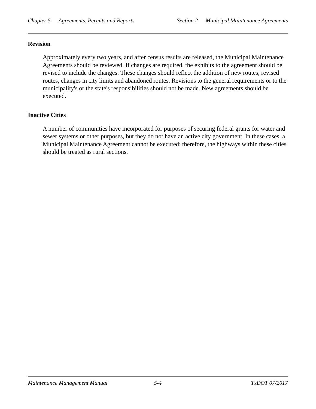#### **Revision**

Approximately every two years, and after census results are released, the Municipal Maintenance Agreements should be reviewed. If changes are required, the exhibits to the agreement should be revised to include the changes. These changes should reflect the addition of new routes, revised routes, changes in city limits and abandoned routes. Revisions to the general requirements or to the municipality's or the state's responsibilities should not be made. New agreements should be executed.

## **Inactive Cities**

A number of communities have incorporated for purposes of securing federal grants for water and sewer systems or other purposes, but they do not have an active city government. In these cases, a Municipal Maintenance Agreement cannot be executed; therefore, the highways within these cities should be treated as rural sections.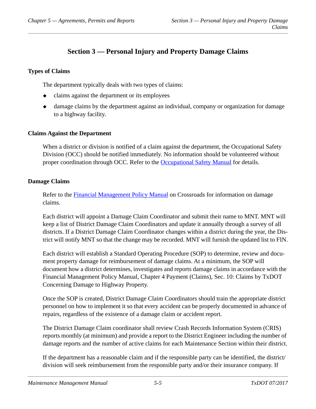# **Section 3 — Personal Injury and Property Damage Claims**

## <span id="page-47-0"></span>**Types of Claims**

The department typically deals with two types of claims:

- claims against the department or its employees
- damage claims by the department against an individual, company or organization for damage to a highway facility.

#### **Claims Against the Department**

When a district or division is notified of a claim against the department, the Occupational Safety Division (OCC) should be notified immediately. No information should be volunteered without proper coordination through OCC. Refer to the [Occupational Safety Manual](../occ/index.htm) for details.

#### **Damage Claims**

Refer to the [Financial Management Policy Manual](../fmp/index.htm) on Crossroads for information on damage claims.

Each district will appoint a Damage Claim Coordinator and submit their name to MNT. MNT will keep a list of District Damage Claim Coordinators and update it annually through a survey of all districts. If a District Damage Claim Coordinator changes within a district during the year, the District will notify MNT so that the change may be recorded. MNT will furnish the updated list to FIN.

Each district will establish a Standard Operating Procedure (SOP) to determine, review and document property damage for reimbursement of damage claims. At a minimum, the SOP will document how a district determines, investigates and reports damage claims in accordance with the Financial Management Policy Manual, Chapter 4 Payment (Claims), Sec. 10: Claims by TxDOT Concerning Damage to Highway Property.

Once the SOP is created, District Damage Claim Coordinators should train the appropriate district personnel on how to implement it so that every accident can be properly documented in advance of repairs, regardless of the existence of a damage claim or accident report.

The District Damage Claim coordinator shall review Crash Records Information System (CRIS) reports monthly (at minimum) and provide a report to the District Engineer including the number of damage reports and the number of active claims for each Maintenance Section within their district.

If the department has a reasonable claim and if the responsible party can be identified, the district/ division will seek reimbursement from the responsible party and/or their insurance company. If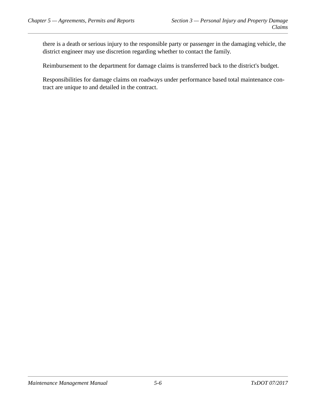there is a death or serious injury to the responsible party or passenger in the damaging vehicle, the district engineer may use discretion regarding whether to contact the family.

Reimbursement to the department for damage claims is transferred back to the district's budget.

Responsibilities for damage claims on roadways under performance based total maintenance contract are unique to and detailed in the contract.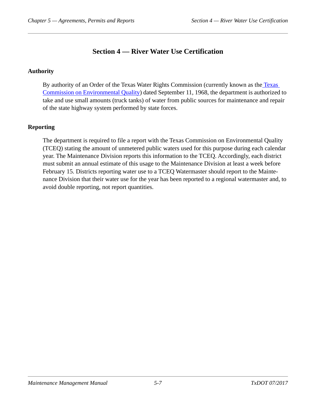# **Section 4 — River Water Use Certification**

# <span id="page-49-0"></span>**Authority**

By authority of an Order of th[e Texas](../glo/t.htm#GKLNJLML) Water Rights Commission (currently known as the Texas [Commission on Environmental Quality](../glo/t.htm#GKLNJLML)) dated September 11, 1968, the department is authorized to take and use small amounts (truck tanks) of water from public sources for maintenance and repair of the state highway system performed by state forces.

# **Reporting**

The department is required to file a report with the Texas Commission on Environmental Quality (TCEQ) stating the amount of unmetered public waters used for this purpose during each calendar year. The Maintenance Division reports this information to the TCEQ. Accordingly, each district must submit an annual estimate of this usage to the Maintenance Division at least a week before February 15. Districts reporting water use to a TCEQ Watermaster should report to the Maintenance Division that their water use for the year has been reported to a regional watermaster and, to avoid double reporting, not report quantities.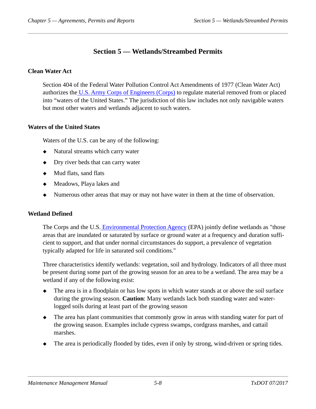# **Section 5 — Wetlands/Streambed Permits**

# <span id="page-50-0"></span>**Clean Water Act**

Section 404 of the Federal Water Pollution Control Act Amendments of 1977 (Clean Water Act) authorizes the [U.S. Army Corps of Engineers \(Corps\)](../glo/u.htm#i1001689) to regulate material removed from or placed into "waters of the United States." The jurisdiction of this law includes not only navigable waters but most other waters and wetlands adjacent to such waters.

## **Waters of the United States**

Waters of the U.S. can be any of the following:

- Natural streams which carry water
- Dry river beds that can carry water
- $\triangleleft$  Mud flats, sand flats
- Meadows, Playa lakes and
- Numerous other areas that may or may not have water in them at the time of observation.

# **Wetland Defined**

The Corps and the U.S[. Environmental Protection Agency](../glo/e.htm#i1005286) (EPA) jointly define wetlands as "those areas that are inundated or saturated by surface or ground water at a frequency and duration sufficient to support, and that under normal circumstances do support, a prevalence of vegetation typically adapted for life in saturated soil conditions."

Three characteristics identify wetlands: vegetation, soil and hydrology. Indicators of all three must be present during some part of the growing season for an area to be a wetland. The area may be a wetland if any of the following exist:

- The area is in a floodplain or has low spots in which water stands at or above the soil surface during the growing season. **Caution**: Many wetlands lack both standing water and waterlogged soils during at least part of the growing season
- The area has plant communities that commonly grow in areas with standing water for part of the growing season. Examples include cypress swamps, cordgrass marshes, and cattail marshes.
- The area is periodically flooded by tides, even if only by strong, wind-driven or spring tides.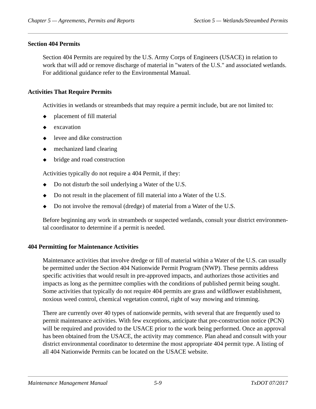## **Section 404 Permits**

Section 404 Permits are required by the U.S. Army Corps of Engineers (USACE) in relation to work that will add or remove discharge of material in "waters of the U.S." and associated wetlands. For additional guidance refer to the Environmental Manual.

# **Activities That Require Permits**

Activities in wetlands or streambeds that may require a permit include, but are not limited to:

- placement of fill material
- excavation
- levee and dike construction
- mechanized land clearing
- bridge and road construction

Activities typically do not require a 404 Permit, if they:

- Do not disturb the soil underlying a Water of the U.S.
- Do not result in the placement of fill material into a Water of the U.S.
- Do not involve the removal (dredge) of material from a Water of the U.S.

Before beginning any work in streambeds or suspected wetlands, consult your district environmental coordinator to determine if a permit is needed.

#### **404 Permitting for Maintenance Activities**

Maintenance activities that involve dredge or fill of material within a Water of the U.S. can usually be permitted under the Section 404 Nationwide Permit Program (NWP). These permits address specific activities that would result in pre-approved impacts, and authorizes those activities and impacts as long as the permittee complies with the conditions of published permit being sought. Some activities that typically do not require 404 permits are grass and wildflower establishment, noxious weed control, chemical vegetation control, right of way mowing and trimming.

There are currently over 40 types of nationwide permits, with several that are frequently used to permit maintenance activities. With few exceptions, anticipate that pre-construction notice (PCN) will be required and provided to the USACE prior to the work being performed. Once an approval has been obtained from the USACE, the activity may commence. Plan ahead and consult with your district environmental coordinator to determine the most appropriate 404 permit type. A listing of all 404 Nationwide Permits can be located on the USACE website.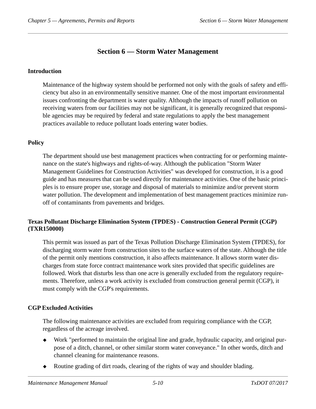# **Section 6 — Storm Water Management**

## <span id="page-52-0"></span>**Introduction**

Maintenance of the highway system should be performed not only with the goals of safety and efficiency but also in an environmentally sensitive manner. One of the most important environmental issues confronting the department is water quality. Although the impacts of runoff pollution on receiving waters from our facilities may not be significant, it is generally recognized that responsible agencies may be required by federal and state regulations to apply the best management practices available to reduce pollutant loads entering water bodies.

# **Policy**

The department should use best management practices when contracting for or performing maintenance on the state's highways and rights-of-way. Although the publication "Storm Water Management Guidelines for Construction Activities" was developed for construction, it is a good guide and has measures that can be used directly for maintenance activities. One of the basic principles is to ensure proper use, storage and disposal of materials to minimize and/or prevent storm water pollution. The development and implementation of best management practices minimize runoff of contaminants from pavements and bridges.

# **Texas Pollutant Discharge Elimination System (TPDES) - Construction General Permit (CGP) (TXR150000)**

This permit was issued as part of the Texas Pollution Discharge Elimination System (TPDES), for discharging storm water from construction sites to the surface waters of the state. Although the title of the permit only mentions construction, it also affects maintenance. It allows storm water discharges from state force contract maintenance work sites provided that specific guidelines are followed. Work that disturbs less than one acre is generally excluded from the regulatory requirements. Therefore, unless a work activity is excluded from construction general permit (CGP), it must comply with the CGP's requirements.

# **CGP Excluded Activities**

The following maintenance activities are excluded from requiring compliance with the CGP, regardless of the acreage involved.

- Work "performed to maintain the original line and grade, hydraulic capacity, and original purpose of a ditch, channel, or other similar storm water conveyance." In other words, ditch and channel cleaning for maintenance reasons.
- Routine grading of dirt roads, clearing of the rights of way and shoulder blading.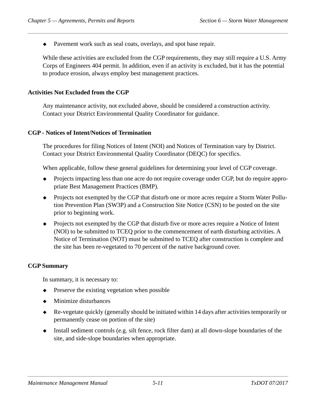Pavement work such as seal coats, overlays, and spot base repair.

While these activities are excluded from the CGP requirements, they may still require a U.S. Army Corps of Engineers 404 permit. In addition, even if an activity is excluded, but it has the potential to produce erosion, always employ best management practices.

#### **Activities Not Excluded from the CGP**

Any maintenance activity, not excluded above, should be considered a construction activity. Contact your District Environmental Quality Coordinator for guidance.

#### **CGP - Notices of Intent/Notices of Termination**

The procedures for filing Notices of Intent (NOI) and Notices of Termination vary by District. Contact your District Environmental Quality Coordinator (DEQC) for specifics.

When applicable, follow these general guidelines for determining your level of CGP coverage.

- Projects impacting less than one acre do not require coverage under CGP, but do require appropriate Best Management Practices (BMP).
- Projects not exempted by the CGP that disturb one or more acres require a Storm Water Pollution Prevention Plan (SW3P) and a Construction Site Notice (CSN) to be posted on the site prior to beginning work.
- Projects not exempted by the CGP that disturb five or more acres require a Notice of Intent (NOI) to be submitted to TCEQ prior to the commencement of earth disturbing activities. A Notice of Termination (NOT) must be submitted to TCEQ after construction is complete and the site has been re-vegetated to 70 percent of the native background cover.

#### **CGP Summary**

In summary, it is necessary to:

- Preserve the existing vegetation when possible
- Minimize disturbances
- Re-vegetate quickly (generally should be initiated within 14 days after activities temporarily or permanently cease on portion of the site)
- Install sediment controls (e.g. silt fence, rock filter dam) at all down-slope boundaries of the site, and side-slope boundaries when appropriate.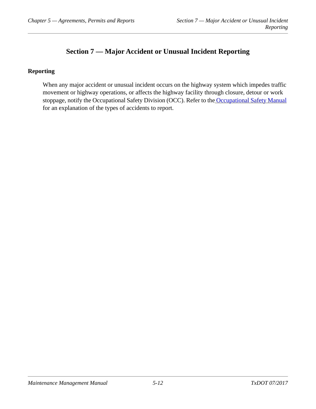# **Section 7 — Major Accident or Unusual Incident Reporting**

# <span id="page-54-0"></span>**Reporting**

When any major accident or unusual incident occurs on the highway system which impedes traffic movement or highway operations, or affects the highway facility through closure, detour or work stoppage, notify the Occupational Safety Division (OCC). Refer to the [Occupational Safety Manual](../occ/incident_and_nearmiss_event_reporting_requirements.htm) for an explanation of the types of accidents to report.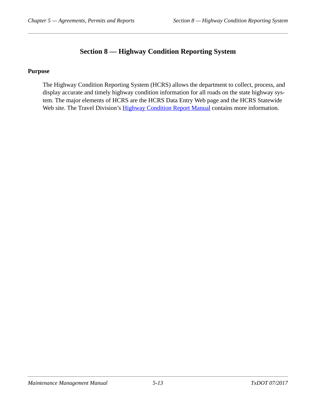# **Section 8 — Highway Condition Reporting System**

#### <span id="page-55-0"></span>**Purpose**

The Highway Condition Reporting System (HCRS) allows the department to collect, process, and display accurate and timely highway condition information for all roads on the state highway system. The major elements of HCRS are the HCRS Data Entry Web page and the HCRS Statewide Web site. The Travel Division's **Highway Condition Report Manual** contains more information.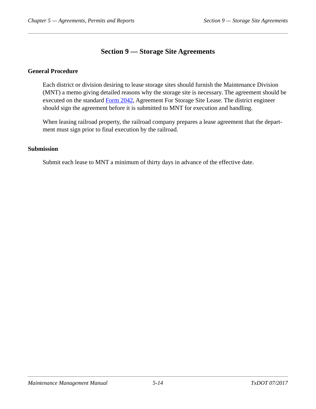# **Section 9 — Storage Site Agreements**

## <span id="page-56-0"></span>**General Procedure**

Each district or division desiring to lease storage sites should furnish the Maintenance Division (MNT) a memo giving detailed reasons why the storage site is necessary. The agreement should be executed on the standard [Form 2042,](http://www.txdot.gov/txdoteforms/GetForm?formName=/2042.xdp&appID=/MNT&status=/reportError.jsp&configFile=WFServletConfig.xml) Agreement For Storage Site Lease. The district engineer should sign the agreement before it is submitted to MNT for execution and handling.

When leasing railroad property, the railroad company prepares a lease agreement that the department must sign prior to final execution by the railroad.

#### **Submission**

Submit each lease to MNT a minimum of thirty days in advance of the effective date.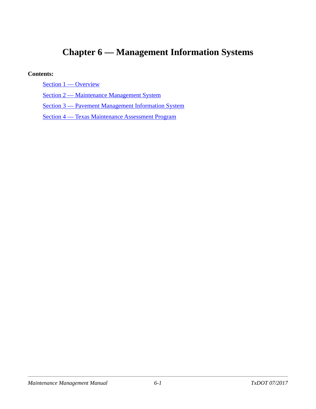# **Chapter 6 — Management Information Systems**

#### **Contents:**

[Section 1 — Overview](#page-58-0)

[Section 2 — Maintenance Management System](#page-59-0)

[Section 3 — Pavement Management Information System](#page-61-0)

[Section 4 — Texas Maintenance Assessment Program](#page-62-0)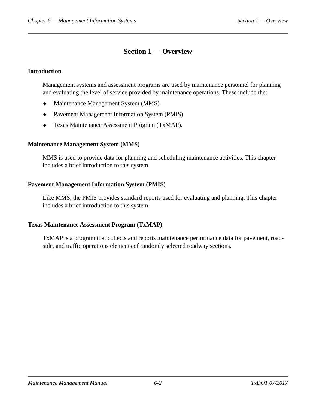# **Section 1 — Overview**

## <span id="page-58-0"></span>**Introduction**

Management systems and assessment programs are used by maintenance personnel for planning and evaluating the level of service provided by maintenance operations. These include the:

- $\triangleleft$  Maintenance Management System (MMS)
- Pavement Management Information System (PMIS)
- Texas Maintenance Assessment Program (TxMAP).

## **Maintenance Management System (MMS)**

MMS is used to provide data for planning and scheduling maintenance activities. This chapter includes a brief introduction to this system.

## **Pavement Management Information System (PMIS)**

Like MMS, the PMIS provides standard reports used for evaluating and planning. This chapter includes a brief introduction to this system.

#### **Texas Maintenance Assessment Program (TxMAP)**

TxMAP is a program that collects and reports maintenance performance data for pavement, roadside, and traffic operations elements of randomly selected roadway sections.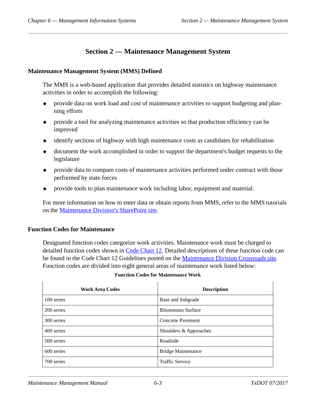# **Section 2 — Maintenance Management System**

#### <span id="page-59-0"></span>**Maintenance Management System (MMS) Defined**

The MMS is a web-based application that provides detailed statistics on highway maintenance activities in order to accomplish the following:

- provide data on work load and cost of maintenance activities to support budgeting and planning efforts
- provide a tool for analyzing maintenance activities so that production efficiency can be improved
- identify sections of highway with high maintenance costs as candidates for rehabilitation
- document the work accomplished in order to support the department's budget requests to the legislature
- provide data to compare costs of maintenance activities performed under contract with those performed by state forces
- provide tools to plan maintenance work including labor, equipment and material.

For more information on how to enter data or obtain reports from MMS, refer to the MMS tutorials on the [Maintenance Division's SharePoint site.](https://txdot.sharepoint.com/sites/division-MNT/compass/SitePages/Home.aspx)

#### **Function Codes for Maintenance**

Designated function codes categorize work activities. Maintenance work must be charged to detailed function codes shown in [Code Chart 12.](http://crossroads/org/fin/Instr_Ref/CodeCharts/CC12sg78.pdf) Detailed descriptions of these function code can be found in the Code Chart 12 Guidelines posted on the [Maintenance Division Crossroads site](http://crossroads/org/mnt/). Function codes are divided into eight general areas of maintenance work listed below:

#### **Function Codes for Maintenance Work**

| <b>Work Area Codes</b> | <b>Description</b>        |
|------------------------|---------------------------|
| 100 series             | Base and Subgrade         |
| 200 series             | <b>Bituminous Surface</b> |
| 300 series             | <b>Concrete Pavement</b>  |
| 400 series             | Shoulders & Approaches    |
| 500 series             | Roadside                  |
| 600 series             | <b>Bridge Maintenance</b> |
| 700 series             | <b>Traffic Service</b>    |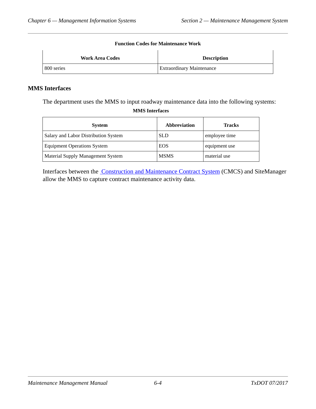#### **Function Codes for Maintenance Work**

| <b>Work Area Codes</b> | <b>Description</b>               |  |
|------------------------|----------------------------------|--|
| 800 series             | <b>Extraordinary Maintenance</b> |  |

#### **MMS Interfaces**

The department uses the MMS to input roadway maintenance data into the following systems: **MMS Interfaces**

| <b>System</b>                            | <b>Abbreviation</b> | <b>Tracks</b> |
|------------------------------------------|---------------------|---------------|
| Salary and Labor Distribution System     | <b>SLD</b>          | employee time |
| <b>Equipment Operations System</b>       | <b>EOS</b>          | equipment use |
| <b>Material Supply Management System</b> | <b>MSMS</b>         | material use  |

Interfaces between the [Construction and Maintenance Contract System](../glo/c.htm#i1014582) (CMCS) and SiteManager allow the MMS to capture contract maintenance activity data.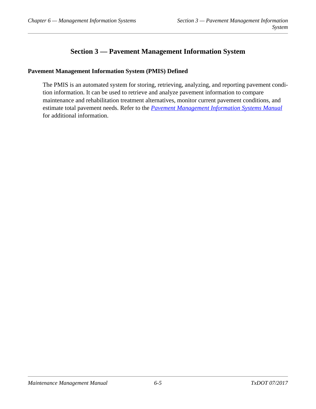# **Section 3 — Pavement Management Information System**

## <span id="page-61-0"></span>**Pavement Management Information System (PMIS) Defined**

The PMIS is an automated system for storing, retrieving, analyzing, and reporting pavement condition information. It can be used to retrieve and analyze pavement information to compare maintenance and rehabilitation treatment alternatives, monitor current pavement conditions, and estimate total pavement needs. Refer to the *[Pavement Management Information Systems Manual](../pma/index.htm)* for additional information.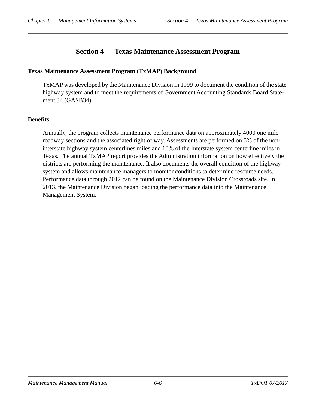# **Section 4 — Texas Maintenance Assessment Program**

#### <span id="page-62-0"></span>**Texas Maintenance Assessment Program (TxMAP) Background**

TxMAP was developed by the Maintenance Division in 1999 to document the condition of the state highway system and to meet the requirements of Government Accounting Standards Board Statement 34 (GASB34).

# **Benefits**

Annually, the program collects maintenance performance data on approximately 4000 one mile roadway sections and the associated right of way. Assessments are performed on 5% of the noninterstate highway system centerlines miles and 10% of the Interstate system centerline miles in Texas. The annual TxMAP report provides the Administration information on how effectively the districts are performing the maintenance. It also documents the overall condition of the highway system and allows maintenance managers to monitor conditions to determine resource needs. Performance data through 2012 can be found on the Maintenance Division Crossroads site. In 2013, the Maintenance Division began loading the performance data into the Maintenance Management System.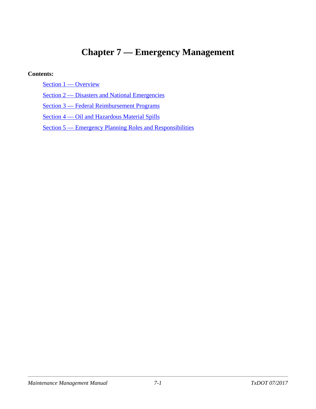# **Chapter 7 — Emergency Management**

#### **Contents:**

[Section 1 — Overview](#page-64-0)

[Section 2 — Disasters and National Emergencies](#page-65-0)

[Section 3 — Federal Reimbursement Programs](#page-67-0)

[Section 4 — Oil and Hazardous Material Spills](#page-68-0)

[Section 5 — Emergency Planning Roles and Responsibilities](#page-70-0)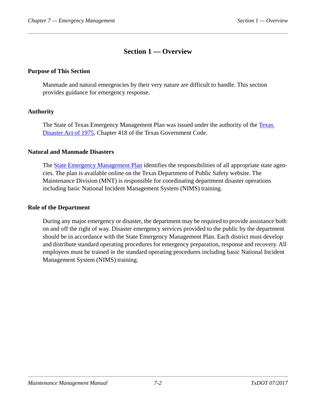# **Section 1 — Overview**

#### <span id="page-64-0"></span>**Purpose of This Section**

Manmade and natural emergencies by their very nature are difficult to handle. This section provides guidance for emergency response.

#### **Authority**

The State of [Texas](http://www.statutes.legis.state.tx.us/Docs/GV/htm/GV.418.htm) Emergency Management Plan was issued under the authority of the Texas [Disaster Act of 1975,](http://www.statutes.legis.state.tx.us/Docs/GV/htm/GV.418.htm) Chapter 418 of the Texas Government Code.

#### **Natural and Manmade Disasters**

The [State Emergency Management Plan](http://www.dps.texas.gov/dem/documents/planState/state_plan.pdf) identifies the responsibilities of all appropriate state agencies. The plan is available online on the Texas Department of Public Safety website. The Maintenance Division (MNT) is responsible for coordinating department disaster operations including basic National Incident Management System (NIMS) training.

#### **Role of the Department**

During any major emergency or disaster, the department may be required to provide assistance both on and off the right of way. Disaster emergency services provided to the public by the department should be in accordance with the State Emergency Management Plan. Each district must develop and distribute standard operating procedures for emergency preparation, response and recovery. All employees must be trained in the standard operating procedures including basic National Incident Management System (NIMS) training.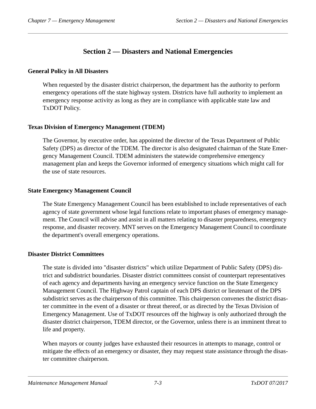# **Section 2 — Disasters and National Emergencies**

## <span id="page-65-0"></span>**General Policy in All Disasters**

When requested by the disaster district chairperson, the department has the authority to perform emergency operations off the state highway system. Districts have full authority to implement an emergency response activity as long as they are in compliance with applicable state law and TxDOT Policy.

## **Texas Division of Emergency Management (TDEM)**

The Governor, by executive order, has appointed the director of the Texas Department of Public Safety (DPS) as director of the TDEM. The director is also designated chairman of the State Emergency Management Council. TDEM administers the statewide comprehensive emergency management plan and keeps the Governor informed of emergency situations which might call for the use of state resources.

## **State Emergency Management Council**

The State Emergency Management Council has been established to include representatives of each agency of state government whose legal functions relate to important phases of emergency management. The Council will advise and assist in all matters relating to disaster preparedness, emergency response, and disaster recovery. MNT serves on the Emergency Management Council to coordinate the department's overall emergency operations.

# **Disaster District Committees**

The state is divided into "disaster districts" which utilize Department of Public Safety (DPS) district and subdistrict boundaries. Disaster district committees consist of counterpart representatives of each agency and departments having an emergency service function on the State Emergency Management Council. The Highway Patrol captain of each DPS district or lieutenant of the DPS subdistrict serves as the chairperson of this committee. This chairperson convenes the district disaster committee in the event of a disaster or threat thereof, or as directed by the Texas Division of Emergency Management. Use of TxDOT resources off the highway is only authorized through the disaster district chairperson, TDEM director, or the Governor, unless there is an imminent threat to life and property.

When mayors or county judges have exhausted their resources in attempts to manage, control or mitigate the effects of an emergency or disaster, they may request state assistance through the disaster committee chairperson.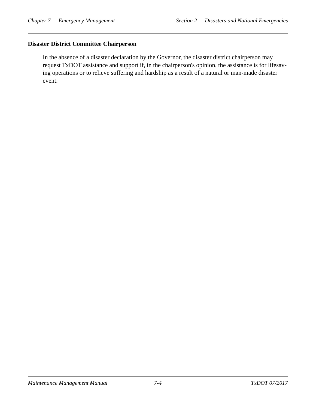## **Disaster District Committee Chairperson**

In the absence of a disaster declaration by the Governor, the disaster district chairperson may request TxDOT assistance and support if, in the chairperson's opinion, the assistance is for lifesaving operations or to relieve suffering and hardship as a result of a natural or man-made disaster event.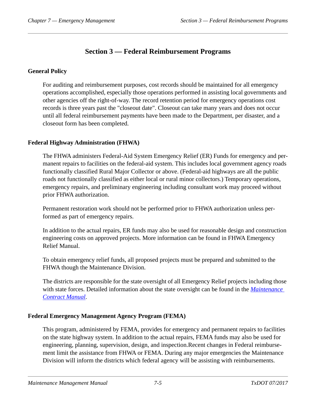# **Section 3 — Federal Reimbursement Programs**

# <span id="page-67-0"></span>**General Policy**

For auditing and reimbursement purposes, cost records should be maintained for all emergency operations accomplished, especially those operations performed in assisting local governments and other agencies off the right-of-way. The record retention period for emergency operations cost records is three years past the "closeout date". Closeout can take many years and does not occur until all federal reimbursement payments have been made to the Department, per disaster, and a closeout form has been completed.

# **Federal Highway Administration (FHWA)**

The FHWA administers Federal-Aid System Emergency Relief (ER) Funds for emergency and permanent repairs to facilities on the federal-aid system. This includes local government agency roads functionally classified Rural Major Collector or above. (Federal-aid highways are all the public roads not functionally classified as either local or rural minor collectors.) Temporary operations, emergency repairs, and preliminary engineering including consultant work may proceed without prior FHWA authorization.

Permanent restoration work should not be performed prior to FHWA authorization unless performed as part of emergency repairs.

In addition to the actual repairs, ER funds may also be used for reasonable design and construction engineering costs on approved projects. More information can be found in FHWA Emergency Relief Manual.

To obtain emergency relief funds, all proposed projects must be prepared and submitted to the FHWA though the Maintenance Division.

The districts are responsible for the state oversight of all Emergency Relief projects including those with state forces. Detailed information about the state oversight can be found in the *[Maintenance](../mct/index.htm)  [Contract Manual](../mct/index.htm)*.

# **Federal Emergency Management Agency Program (FEMA)**

This program, administered by FEMA, provides for emergency and permanent repairs to facilities on the state highway system. In addition to the actual repairs, FEMA funds may also be used for engineering, planning, supervision, design, and inspection.Recent changes in Federal reimbursement limit the assistance from FHWA or FEMA. During any major emergencies the Maintenance Division will inform the districts which federal agency will be assisting with reimbursements.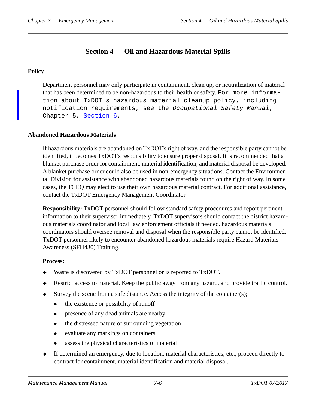# **Section 4 — Oil and Hazardous Material Spills**

# <span id="page-68-0"></span>**Policy**

Department personnel may only participate in containment, clean up, or neutralization of material that has been determined to be non-hazardous to their health or safety. For more information about TxDOT's hazardous material cleanup policy, including notification requirements, see the *Occupational Safety Manual*, Chapter 5, [Section 6.](../occ/emergency_planning.htm)

# **Abandoned Hazardous Materials**

If hazardous materials are abandoned on TxDOT's right of way, and the responsible party cannot be identified, it becomes TxDOT's responsibility to ensure proper disposal. It is recommended that a blanket purchase order for containment, material identification, and material disposal be developed. A blanket purchase order could also be used in non-emergency situations. Contact the Environmental Division for assistance with abandoned hazardous materials found on the right of way. In some cases, the TCEQ may elect to use their own hazardous material contract. For additional assistance, contact the TxDOT Emergency Management Coordinator.

**Responsibility:** TxDOT personnel should follow standard safety procedures and report pertinent information to their supervisor immediately. TxDOT supervisors should contact the district hazardous materials coordinator and local law enforcement officials if needed. hazardous materials coordinators should oversee removal and disposal when the responsible party cannot be identified. TxDOT personnel likely to encounter abandoned hazardous materials require Hazard Materials Awareness (SFH430) Training.

#### **Process:**

- Waste is discovered by TxDOT personnel or is reported to TxDOT.
- Restrict access to material. Keep the public away from any hazard, and provide traffic control.
- $\blacklozenge$  Survey the scene from a safe distance. Access the integrity of the container(s);
	- the existence or possibility of runoff
	- presence of any dead animals are nearby
	- the distressed nature of surrounding vegetation
	- evaluate any markings on containers
	- assess the physical characteristics of material
- If determined an emergency, due to location, material characteristics, etc., proceed directly to contract for containment, material identification and material disposal.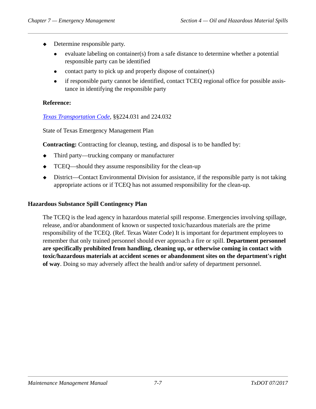- Determine responsible party.
	- evaluate labeling on container(s) from a safe distance to determine whether a potential responsible party can be identified
	- contact party to pick up and properly dispose of container(s)
	- if responsible party cannot be identified, contact TCEQ regional office for possible assistance in identifying the responsible party

## **Reference:**

*[Texas Transportation Code](http://www.statutes.legis.state.tx.us/?link=TN)*, §§224.031 and 224.032

State of Texas Emergency Management Plan

**Contracting:** Contracting for cleanup, testing, and disposal is to be handled by:

- Third party—trucking company or manufacturer
- TCEQ—should they assume responsibility for the clean-up
- District—Contact Environmental Division for assistance, if the responsible party is not taking appropriate actions or if TCEQ has not assumed responsibility for the clean-up.

#### **Hazardous Substance Spill Contingency Plan**

The TCEQ is the lead agency in hazardous material spill response. Emergencies involving spillage, release, and/or abandonment of known or suspected toxic/hazardous materials are the prime responsibility of the TCEQ. (Ref. Texas Water Code) It is important for department employees to remember that only trained personnel should ever approach a fire or spill. **Department personnel are specifically prohibited from handling, cleaning up, or otherwise coming in contact with toxic/hazardous materials at accident scenes or abandonment sites on the department's right of way**. Doing so may adversely affect the health and/or safety of department personnel.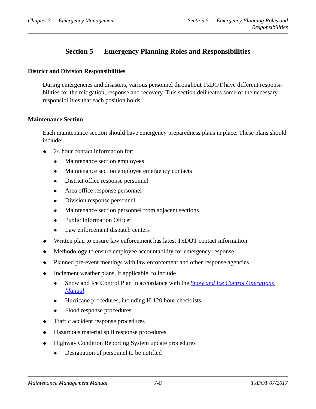# **Section 5 — Emergency Planning Roles and Responsibilities**

#### <span id="page-70-0"></span>**District and Division Responsibilities**

During emergencies and disasters, various personnel throughout TxDOT have different responsibilities for the mitigation, response and recovery. This section delineates some of the necessary responsibilities that each position holds.

#### **Maintenance Section**

Each maintenance section should have emergency preparedness plans in place. These plans should include:

- 24 hour contact information for:
	- Maintenance section employees
	- Maintenance section employee emergency contacts
	- District office response personnel
	- Area office response personnel
	- Division response personnel
	- Maintenance section personnel from adjacent sections
	- Public Information Officer
	- Law enforcement dispatch centers
- Written plan to ensure law enforcement has latest TxDOT contact information
- Methodology to ensure employee accountability for emergency response
- Planned pre-event meetings with law enforcement and other response agencies
- Inclement weather plans, if applicable, to include
	- Snow and Ice Control Plan in accordance with the *[Snow and Ice Control Operations](../sic/index.htm)  [Manual](../sic/index.htm)*
	- Hurricane procedures, including H-120 hour checklists
	- Flood response procedures
- Traffic accident response procedures
- Hazardous material spill response procedures
- $\triangleleft$  Highway Condition Reporting System update procedures
	- Designation of personnel to be notified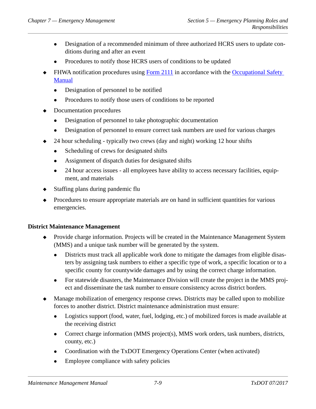- Designation of a recommended minimum of three authorized HCRS users to update conditions during and after an event
- Procedures to notify those HCRS users of conditions to be updated
- FHWA notification procedures using [Form 2111](http://www.txdot.gov/txdoteforms/GetForm?formName=/2111.pdf&appID=/MNT&status=/reportError.jsp&configFile=WFServletConfig.xml) in accordance with the Occupational Safety [Manual](../occ/index.htm)
	- Designation of personnel to be notified
	- Procedures to notify those users of conditions to be reported
- Documentation procedures
	- Designation of personnel to take photographic documentation
	- Designation of personnel to ensure correct task numbers are used for various charges
- 24 hour scheduling typically two crews (day and night) working 12 hour shifts
	- Scheduling of crews for designated shifts
	- Assignment of dispatch duties for designated shifts
	- 24 hour access issues all employees have ability to access necessary facilities, equipment, and materials
- Staffing plans during pandemic flu
- Procedures to ensure appropriate materials are on hand in sufficient quantities for various emergencies.

# **District Maintenance Management**

- Provide charge information. Projects will be created in the Maintenance Management System (MMS) and a unique task number will be generated by the system.
	- Districts must track all applicable work done to mitigate the damages from eligible disasters by assigning task numbers to either a specific type of work, a specific location or to a specific county for countywide damages and by using the correct charge information.
	- For statewide disasters, the Maintenance Division will create the project in the MMS project and disseminate the task number to ensure consistency across district borders.
- Manage mobilization of emergency response crews. Districts may be called upon to mobilize forces to another district. District maintenance administration must ensure:
	- Logistics support (food, water, fuel, lodging, etc.) of mobilized forces is made available at the receiving district
	- Correct charge information (MMS project(s), MMS work orders, task numbers, districts, county, etc.)
	- Coordination with the TxDOT Emergency Operations Center (when activated)
	- Employee compliance with safety policies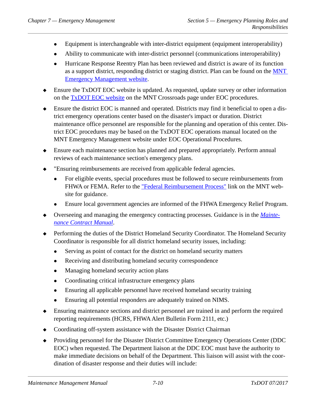- Equipment is interchangeable with inter-district equipment (equipment interoperability)
- Ability to communicate with inter-district personnel (communications interoperability)
- Hurricane Response Reentry Plan has been reviewed and district is aware of its function as a support district, responding district or staging district. Plan can be found on the [MNT](http://crossroads/org/mnt/MS/EmgyMgmt/index.htm)  [Emergency Management website.](http://crossroads/org/mnt/MS/EmgyMgmt/index.htm)
- Ensure the TxDOT EOC website is updated. As requested, update survey or other information on the [TxDOT EOC website](https://txdot.sharepoint.com/sites/division-MNT/emgymgmt/_layouts/viewlsts.aspx?BaseType=0) on the MNT Crossroads page under EOC procedures.
- Ensure the district EOC is manned and operated. Districts may find it beneficial to open a district emergency operations center based on the disaster's impact or duration. District maintenance office personnel are responsible for the planning and operation of this center. District EOC procedures may be based on the TxDOT EOC operations manual located on the MNT Emergency Management website under EOC Operational Procedures.
- Ensure each maintenance section has planned and prepared appropriately. Perform annual reviews of each maintenance section's emergency plans.
- "Ensuring reimbursements are received from applicable federal agencies.
	- For eligible events, special procedures must be followed to secure reimbursements from FHWA or FEMA. Refer to the ["Federal Reimbursement Process"](http://crossroads/org/mnt/MS/EmgyMgmt/index_files/Page353.htm) link on the MNT website for guidance.
	- Ensure local government agencies are informed of the FHWA Emergency Relief Program.
- Overseeing and managing the emergency contracting processes. Guidance is in the *[Mainte](../mct/index.htm)[nance Contract Manual](../mct/index.htm)*.
- Performing the duties of the District Homeland Security Coordinator. The Homeland Security Coordinator is responsible for all district homeland security issues, including:
	- Serving as point of contact for the district on homeland security matters
	- Receiving and distributing homeland security correspondence
	- Managing homeland security action plans
	- Coordinating critical infrastructure emergency plans
	- Ensuring all applicable personnel have received homeland security training
	- Ensuring all potential responders are adequately trained on NIMS.
- Ensuring maintenance sections and district personnel are trained in and perform the required reporting requirements (HCRS, FHWA Alert Bulletin Form 2111, etc.)
- Coordinating off-system assistance with the Disaster District Chairman
- Providing personnel for the Disaster District Committee Emergency Operations Center (DDC EOC) when requested. The Department liaison at the DDC EOC must have the authority to make immediate decisions on behalf of the Department. This liaison will assist with the coordination of disaster response and their duties will include: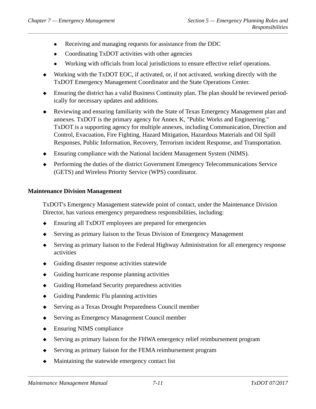- Receiving and managing requests for assistance from the DDC
- Coordinating TxDOT activities with other agencies
- Working with officials from local jurisdictions to ensure effective relief operations.
- Working with the TxDOT EOC, if activated, or, if not activated, working directly with the TxDOT Emergency Management Coordinator and the State Operations Center.
- Ensuring the district has a valid Business Continuity plan. The plan should be reviewed periodically for necessary updates and additions.
- Reviewing and ensuring familiarity with the State of Texas Emergency Management plan and annexes. TxDOT is the primary agency for Annex K, "Public Works and Engineering." TxDOT is a supporting agency for multiple annexes, including Communication, Direction and Control, Evacuation, Fire Fighting, Hazard Mitigation, Hazardous Materials and Oil Spill Responses, Public Information, Recovery, Terrorism incident Response, and Transportation.
- Ensuring compliance with the National Incident Management System (NIMS).
- Performing the duties of the district Government Emergency Telecommunications Service (GETS) and Wireless Priority Service (WPS) coordinator.

### **Maintenance Division Management**

TxDOT's Emergency Management statewide point of contact, under the Maintenance Division Director, has various emergency preparedness responsibilities, including:

- Ensuring all TxDOT employees are prepared for emergencies
- Serving as primary liaison to the Texas Division of Emergency Management
- Serving as primary liaison to the Federal Highway Administration for all emergency response activities
- Guiding disaster response activities statewide
- Guiding hurricane response planning activities
- Guiding Homeland Security preparedness activities
- Guiding Pandemic Flu planning activities
- Serving as a Texas Drought Preparedness Council member
- Serving as Emergency Management Council member
- ◆ Ensuring NIMS compliance
- Serving as primary liaison for the FHWA emergency relief reimbursement program
- Serving as primary liaison for the FEMA reimbursement program
- Maintaining the statewide emergency contact list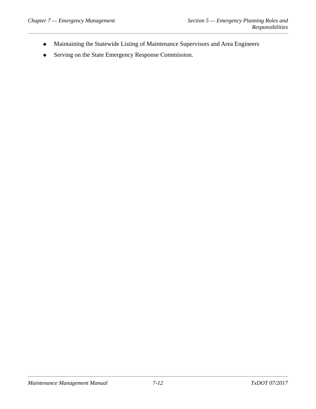- Maintaining the Statewide Listing of Maintenance Supervisors and Area Engineers
- Serving on the State Emergency Response Commission.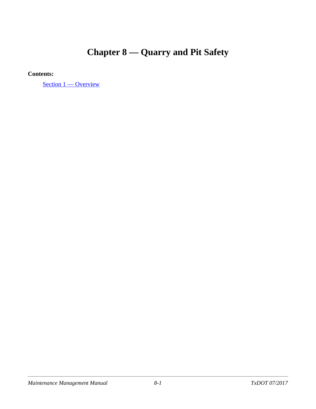# **Chapter 8 — Quarry and Pit Safety**

**Contents:**

[Section 1 — Overview](#page-76-0)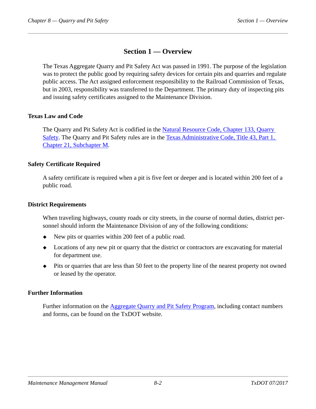# **Section 1 — Overview**

<span id="page-76-0"></span>The Texas Aggregate Quarry and Pit Safety Act was passed in 1991. The purpose of the legislation was to protect the public good by requiring safety devices for certain pits and quarries and regulate public access. The Act assigned enforcement responsibility to the Railroad Commission of Texas, but in 2003, responsibility was transferred to the Department. The primary duty of inspecting pits and issuing safety certificates assigned to the Maintenance Division.

### **Texas Law and Code**

The Quarry and Pit Safety Act is codified in the [Natural Resource Code, Chapter 133, Quarry](http://www.statutes.legis.state.tx.us/docs/NR/htm/NR.133.htm)  [Safety](http://www.statutes.legis.state.tx.us/docs/NR/htm/NR.133.htm). The Quarry and Pit Safety rules are in the [Texas Administrative Code, Title 43, Part 1,](http://info.sos.state.tx.us/pls/pub/readtac$ext.ViewTAC?tac_view=5&ti=43&pt=1&ch=21&sch=M&rl=Y)  [Chapter 21, Subchapter M](http://info.sos.state.tx.us/pls/pub/readtac$ext.ViewTAC?tac_view=5&ti=43&pt=1&ch=21&sch=M&rl=Y).

## **Safety Certificate Required**

A safety certificate is required when a pit is five feet or deeper and is located within 200 feet of a public road.

### **District Requirements**

When traveling highways, county roads or city streets, in the course of normal duties, district personnel should inform the Maintenance Division of any of the following conditions:

- $\bullet$  New pits or quarries within 200 feet of a public road.
- Locations of any new pit or quarry that the district or contractors are excavating for material for department use.
- Pits or quarries that are less than 50 feet to the property line of the nearest property not owned or leased by the operator.

# **Further Information**

Further information on the [Aggregate Quarry and Pit Safety Program,](http://www.txdot.gov/inside-txdot/division/maintenance/quarry.html) including contact numbers and forms, can be found on the TxDOT website.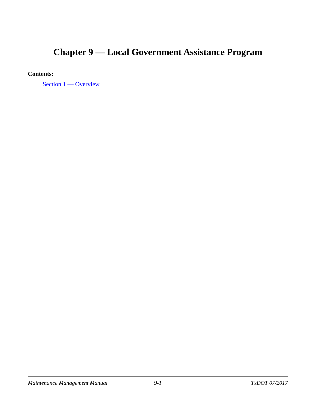# **Chapter 9 — Local Government Assistance Program**

## **Contents:**

[Section 1 — Overview](#page-78-0)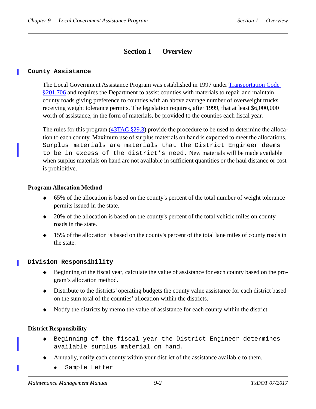# **Section 1 — Overview**

#### <span id="page-78-0"></span>**County Assistance**

The Local Government Assistance Program was established in 1997 under [Transportation Code](http://www.statutes.legis.state.tx.us/Docs/TN/htm/TN.201.htm)  [§201.706](http://www.statutes.legis.state.tx.us/Docs/TN/htm/TN.201.htm) and requires the Department to assist counties with materials to repair and maintain county roads giving preference to counties with an above average number of overweight trucks receiving weight tolerance permits. The legislation requires, after 1999, that at least \$6,000,000 worth of assistance, in the form of materials, be provided to the counties each fiscal year.

The rules for this program ([43TAC §29.3\)](http://info.sos.state.tx.us/pls/pub/readtac$ext.TacPage?sl=R&app=9&p_dir=&p_rloc=&p_tloc=&p_ploc=&pg=1&p_tac=&ti=43&pt=1&ch=29&rl=3) provide the procedure to be used to determine the allocation to each county. Maximum use of surplus materials on hand is expected to meet the allocations. Surplus materials are materials that the District Engineer deems to be in excess of the district's need. New materials will be made available when surplus materials on hand are not available in sufficient quantities or the haul distance or cost is prohibitive.

#### **Program Allocation Method**

- 65% of the allocation is based on the county's percent of the total number of weight tolerance permits issued in the state.
- 20% of the allocation is based on the county's percent of the total vehicle miles on county roads in the state.
- 15% of the allocation is based on the county's percent of the total lane miles of county roads in the state.

#### **Division Responsibility**

- Beginning of the fiscal year, calculate the value of assistance for each county based on the program's allocation method.
- Distribute to the districts' operating budgets the county value assistance for each district based on the sum total of the counties' allocation within the districts.
- Notify the districts by memo the value of assistance for each county within the district.

#### **District Responsibility**

- Beginning of the fiscal year the District Engineer determines available surplus material on hand.
- Annually, notify each county within your district of the assistance available to them.
	- [Sample Letter](https://txdot.sharepoint.com/sites/division-MNT/_layouts/15/WopiFrame.aspx?sourcedoc=%7B7A58F304-F695-483C-A217-4A5AF4FADB91%7D&file=Sample%20County%20Assistance%20Program%20Letter.docx&action=default)